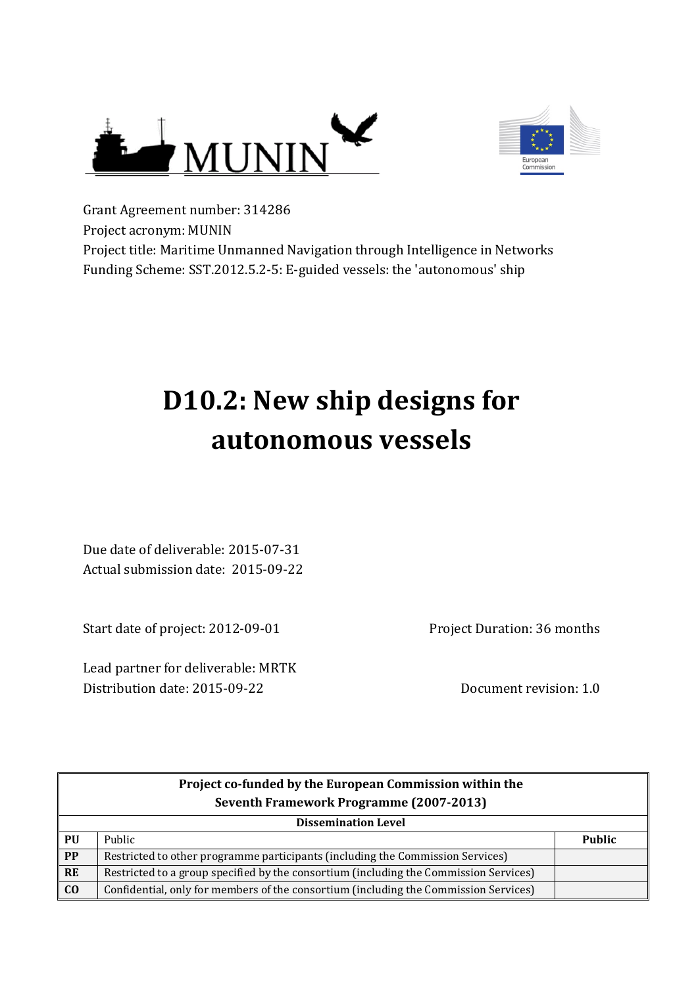



Grant Agreement number: 314286 Project acronym: MUNIN Project title: Maritime Unmanned Navigation through Intelligence in Networks Funding Scheme: SST.2012.5.2-5: E-guided vessels: the 'autonomous' ship

# **D10.2: New ship designs for autonomous vessels**

Due date of deliverable: 2015-07-31 Actual submission date: 2015-09-22

Start date of project: 2012-09-01

Lead partner for deliverable: MRTK Distribution date: 2015-09-22 Document revision: 1.0

Project Duration: 36 months

| Project co-funded by the European Commission within the |                                                                                       |               |
|---------------------------------------------------------|---------------------------------------------------------------------------------------|---------------|
|                                                         | Seventh Framework Programme (2007-2013)                                               |               |
|                                                         | <b>Dissemination Level</b>                                                            |               |
| PU                                                      | Public                                                                                | <b>Public</b> |
| PP                                                      | Restricted to other programme participants (including the Commission Services)        |               |
| <b>RE</b>                                               | Restricted to a group specified by the consortium (including the Commission Services) |               |
| C <sub>0</sub>                                          | Confidential, only for members of the consortium (including the Commission Services)  |               |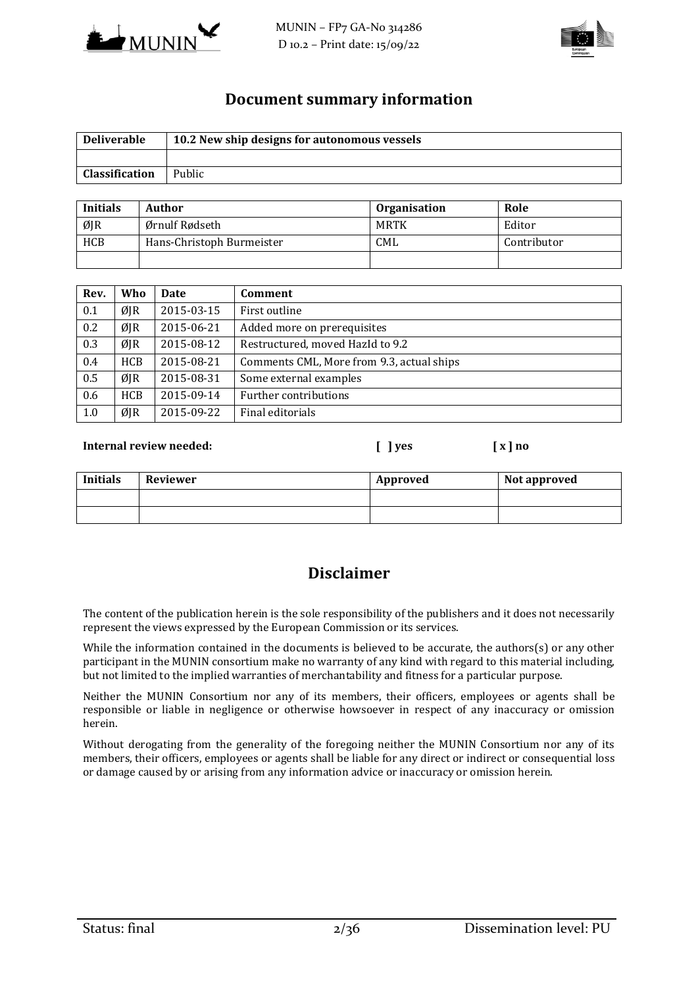



### **Document summary information**

| <b>Deliverable</b>    | 10.2 New ship designs for autonomous vessels |
|-----------------------|----------------------------------------------|
|                       |                                              |
| <b>Classification</b> | Public                                       |

| <b>Initials</b> | Author                    | <b>Organisation</b> | Role        |
|-----------------|---------------------------|---------------------|-------------|
| ØJR             | Ørnulf Rødseth            | MRTK                | Editor      |
| <b>HCB</b>      | Hans-Christoph Burmeister | <b>CML</b>          | Contributor |
|                 |                           |                     |             |

| Rev. | Who        | <b>Date</b> | Comment                                   |
|------|------------|-------------|-------------------------------------------|
| 0.1  | ØJR        | 2015-03-15  | First outline                             |
| 0.2  | ØJR        | 2015-06-21  | Added more on prerequisites               |
| 0.3  | ØJR        | 2015-08-12  | Restructured, moved HazId to 9.2          |
| 0.4  | <b>HCB</b> | 2015-08-21  | Comments CML, More from 9.3, actual ships |
| 0.5  | ØJR        | 2015-08-31  | Some external examples                    |
| 0.6  | <b>HCB</b> | 2015-09-14  | Further contributions                     |
| 1.0  | ØJR        | 2015-09-22  | Final editorials                          |

#### **Internal review needed: [ ] yes [ x ] no**

**Initials** Reviewer **Approved** Reviewer **Approved** Reviewer

## **Disclaimer**

The content of the publication herein is the sole responsibility of the publishers and it does not necessarily represent the views expressed by the European Commission or its services.

While the information contained in the documents is believed to be accurate, the authors(s) or any other participant in the MUNIN consortium make no warranty of any kind with regard to this material including, but not limited to the implied warranties of merchantability and fitness for a particular purpose.

Neither the MUNIN Consortium nor any of its members, their officers, employees or agents shall be responsible or liable in negligence or otherwise howsoever in respect of any inaccuracy or omission herein.

Without derogating from the generality of the foregoing neither the MUNIN Consortium nor any of its members, their officers, employees or agents shall be liable for any direct or indirect or consequential loss or damage caused by or arising from any information advice or inaccuracy or omission herein.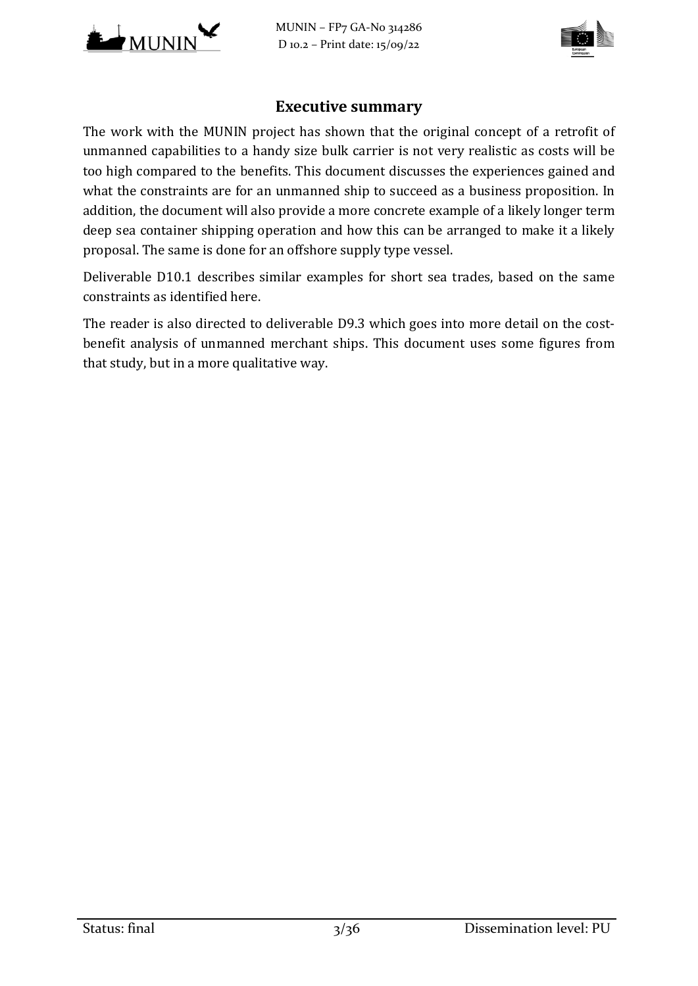

MUNIN – FP7 GA-No 314286 D 10.2 – Print date: 15/09/22



## **Executive summary**

The work with the MUNIN project has shown that the original concept of a retrofit of unmanned capabilities to a handy size bulk carrier is not very realistic as costs will be too high compared to the benefits. This document discusses the experiences gained and what the constraints are for an unmanned ship to succeed as a business proposition. In addition, the document will also provide a more concrete example of a likely longer term deep sea container shipping operation and how this can be arranged to make it a likely proposal. The same is done for an offshore supply type vessel.

Deliverable D10.1 describes similar examples for short sea trades, based on the same constraints as identified here.

The reader is also directed to deliverable D9.3 which goes into more detail on the costbenefit analysis of unmanned merchant ships. This document uses some figures from that study, but in a more qualitative way.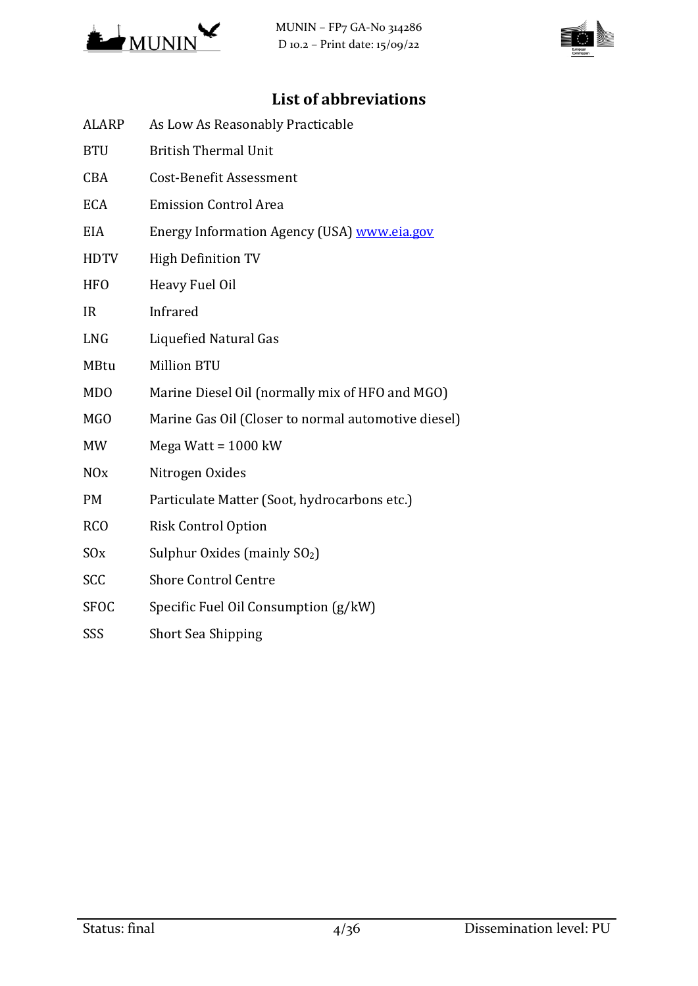



# **List of abbreviations**

| <b>ALARP</b>          | As Low As Reasonably Practicable                    |
|-----------------------|-----------------------------------------------------|
| <b>BTU</b>            | <b>British Thermal Unit</b>                         |
| <b>CBA</b>            | <b>Cost-Benefit Assessment</b>                      |
| <b>ECA</b>            | <b>Emission Control Area</b>                        |
| EIA                   | Energy Information Agency (USA) www.eia.gov         |
| <b>HDTV</b>           | <b>High Definition TV</b>                           |
| <b>HFO</b>            | Heavy Fuel Oil                                      |
| <b>IR</b>             | Infrared                                            |
| <b>LNG</b>            | <b>Liquefied Natural Gas</b>                        |
| <b>MBtu</b>           | <b>Million BTU</b>                                  |
| <b>MDO</b>            | Marine Diesel Oil (normally mix of HFO and MGO)     |
| MG <sub>O</sub>       | Marine Gas Oil (Closer to normal automotive diesel) |
| <b>MW</b>             | Mega Watt = $1000$ kW                               |
| <b>NO<sub>x</sub></b> | Nitrogen Oxides                                     |
| <b>PM</b>             | Particulate Matter (Soot, hydrocarbons etc.)        |
| <b>RCO</b>            | <b>Risk Control Option</b>                          |
| S0x                   | Sulphur Oxides (mainly SO <sub>2</sub> )            |
| SCC                   | <b>Shore Control Centre</b>                         |
| <b>SFOC</b>           | Specific Fuel Oil Consumption (g/kW)                |
| SSS                   | <b>Short Sea Shipping</b>                           |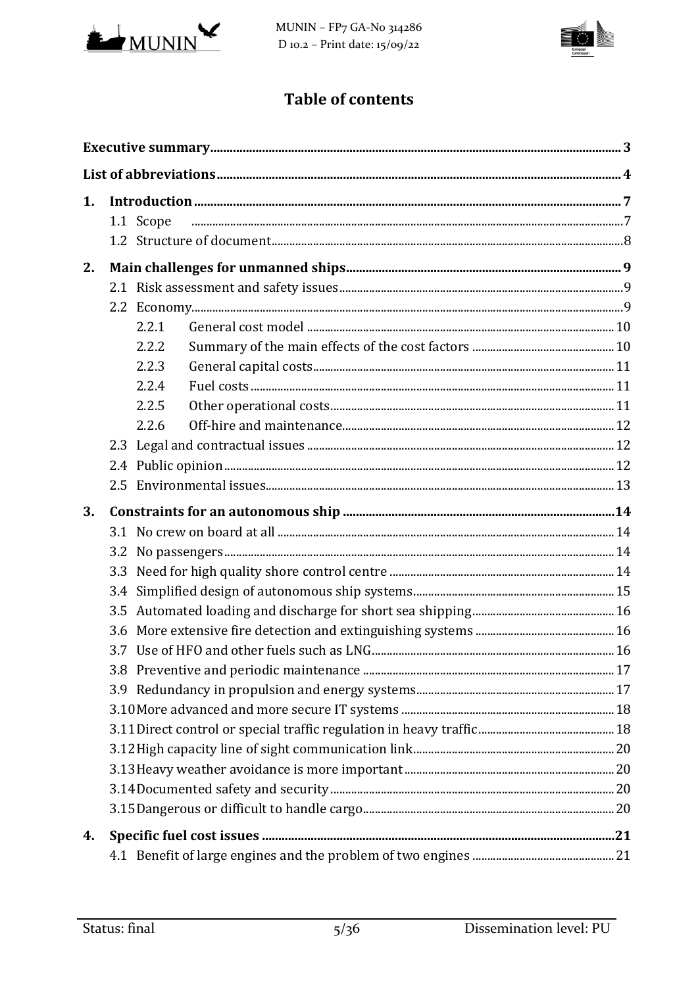

MUNIN - FP7 GA-No 314286 D 10.2 - Print date:  $15/09/22$ 



# **Table of contents**

| 1. |     |           |  |  |  |  |
|----|-----|-----------|--|--|--|--|
|    |     | 1.1 Scope |  |  |  |  |
|    |     |           |  |  |  |  |
| 2. |     |           |  |  |  |  |
|    |     |           |  |  |  |  |
|    |     |           |  |  |  |  |
|    |     | 2.2.1     |  |  |  |  |
|    |     | 2.2.2     |  |  |  |  |
|    |     | 2.2.3     |  |  |  |  |
|    |     | 2.2.4     |  |  |  |  |
|    |     | 2.2.5     |  |  |  |  |
|    |     | 2.2.6     |  |  |  |  |
|    |     |           |  |  |  |  |
|    |     |           |  |  |  |  |
|    |     |           |  |  |  |  |
| 3. |     |           |  |  |  |  |
|    |     |           |  |  |  |  |
|    |     |           |  |  |  |  |
|    |     |           |  |  |  |  |
|    | 3.4 |           |  |  |  |  |
|    |     |           |  |  |  |  |
|    |     |           |  |  |  |  |
|    |     |           |  |  |  |  |
|    |     |           |  |  |  |  |
|    |     |           |  |  |  |  |
|    |     |           |  |  |  |  |
|    |     |           |  |  |  |  |
|    |     |           |  |  |  |  |
|    |     |           |  |  |  |  |
|    |     |           |  |  |  |  |
|    |     |           |  |  |  |  |
| 4. |     |           |  |  |  |  |
|    |     |           |  |  |  |  |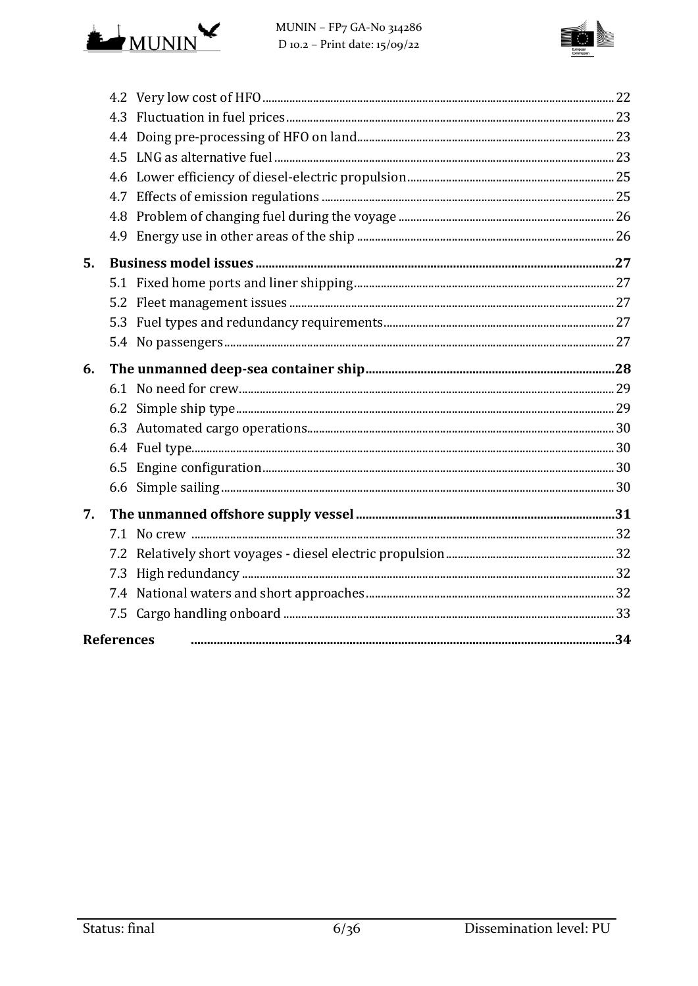



| 5. |                   |  |
|----|-------------------|--|
|    |                   |  |
|    |                   |  |
|    |                   |  |
|    |                   |  |
| 6. |                   |  |
|    |                   |  |
|    |                   |  |
|    |                   |  |
|    |                   |  |
|    |                   |  |
|    |                   |  |
| 7. |                   |  |
|    |                   |  |
|    |                   |  |
|    |                   |  |
|    |                   |  |
|    |                   |  |
|    | <b>References</b> |  |
|    |                   |  |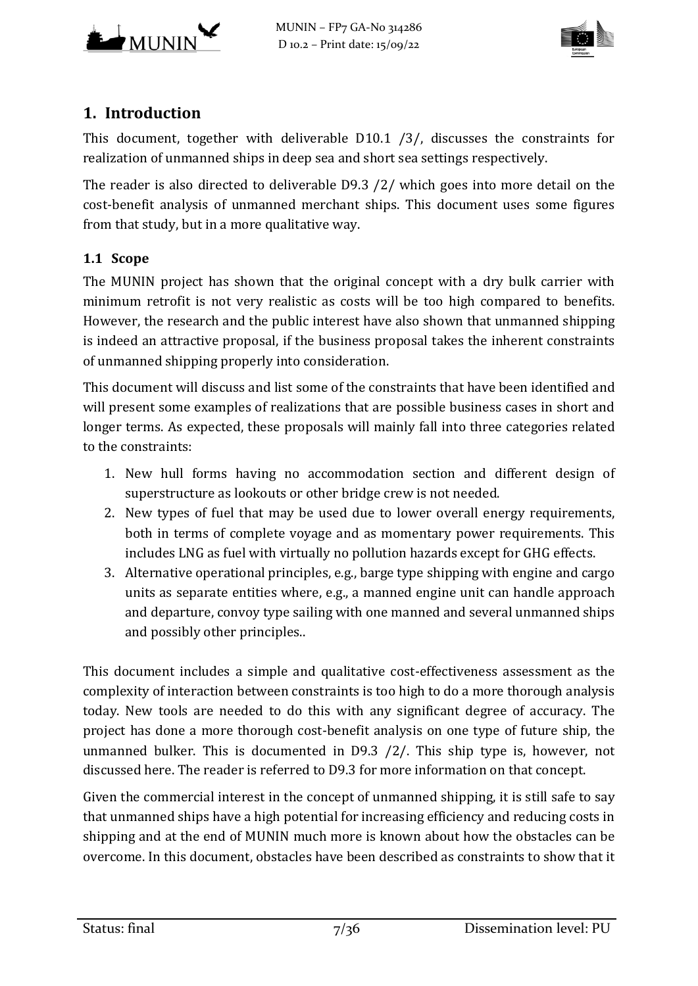



# **1. Introduction**

This document, together with deliverable D10.1 [/3/,](#page-34-0) discusses the constraints for realization of unmanned ships in deep sea and short sea settings respectively.

The reader is also directed to deliverable D9.3 [/2/](#page-34-1) which goes into more detail on the cost-benefit analysis of unmanned merchant ships. This document uses some figures from that study, but in a more qualitative way.

## **1.1 Scope**

The MUNIN project has shown that the original concept with a dry bulk carrier with minimum retrofit is not very realistic as costs will be too high compared to benefits. However, the research and the public interest have also shown that unmanned shipping is indeed an attractive proposal, if the business proposal takes the inherent constraints of unmanned shipping properly into consideration.

This document will discuss and list some of the constraints that have been identified and will present some examples of realizations that are possible business cases in short and longer terms. As expected, these proposals will mainly fall into three categories related to the constraints:

- 1. New hull forms having no accommodation section and different design of superstructure as lookouts or other bridge crew is not needed.
- 2. New types of fuel that may be used due to lower overall energy requirements, both in terms of complete voyage and as momentary power requirements. This includes LNG as fuel with virtually no pollution hazards except for GHG effects.
- 3. Alternative operational principles, e.g., barge type shipping with engine and cargo units as separate entities where, e.g., a manned engine unit can handle approach and departure, convoy type sailing with one manned and several unmanned ships and possibly other principles..

This document includes a simple and qualitative cost-effectiveness assessment as the complexity of interaction between constraints is too high to do a more thorough analysis today. New tools are needed to do this with any significant degree of accuracy. The project has done a more thorough cost-benefit analysis on one type of future ship, the unmanned bulker. This is documented in D9.3 [/2/.](#page-34-1) This ship type is, however, not discussed here. The reader is referred to D9.3 for more information on that concept.

Given the commercial interest in the concept of unmanned shipping, it is still safe to say that unmanned ships have a high potential for increasing efficiency and reducing costs in shipping and at the end of MUNIN much more is known about how the obstacles can be overcome. In this document, obstacles have been described as constraints to show that it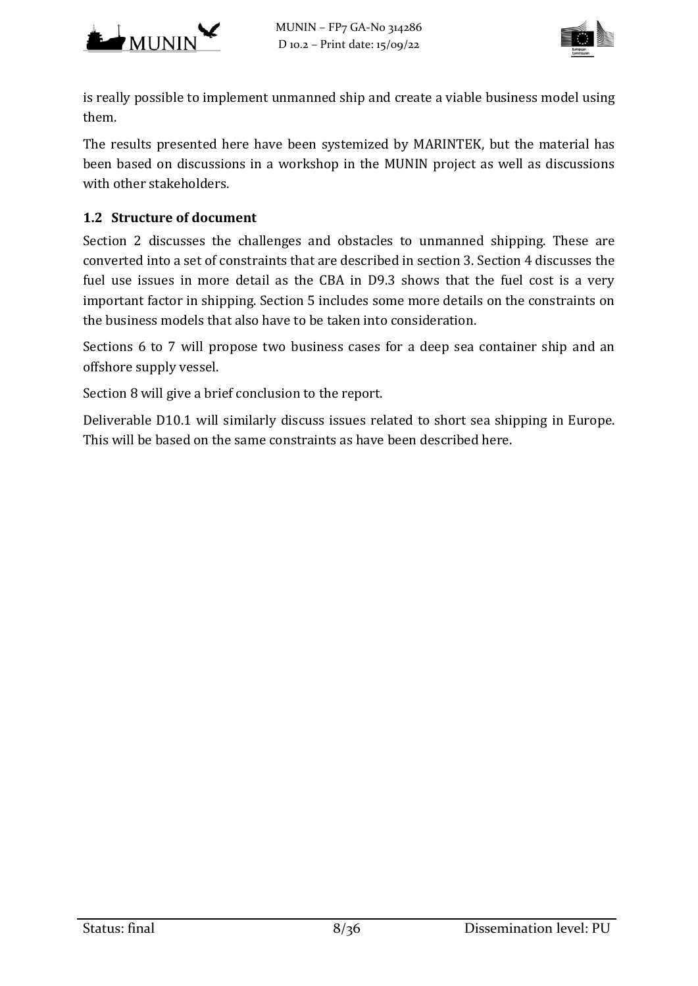



is really possible to implement unmanned ship and create a viable business model using them.

The results presented here have been systemized by MARINTEK, but the material has been based on discussions in a workshop in the MUNIN project as well as discussions with other stakeholders.

## **1.2 Structure of document**

Section 2 discusses the challenges and obstacles to unmanned shipping. These are converted into a set of constraints that are described in section 3. Section 4 discusses the fuel use issues in more detail as the CBA in D9.3 shows that the fuel cost is a very important factor in shipping. Section 5 includes some more details on the constraints on the business models that also have to be taken into consideration.

Sections 6 to 7 will propose two business cases for a deep sea container ship and an offshore supply vessel.

Section 8 will give a brief conclusion to the report.

Deliverable D10.1 will similarly discuss issues related to short sea shipping in Europe. This will be based on the same constraints as have been described here.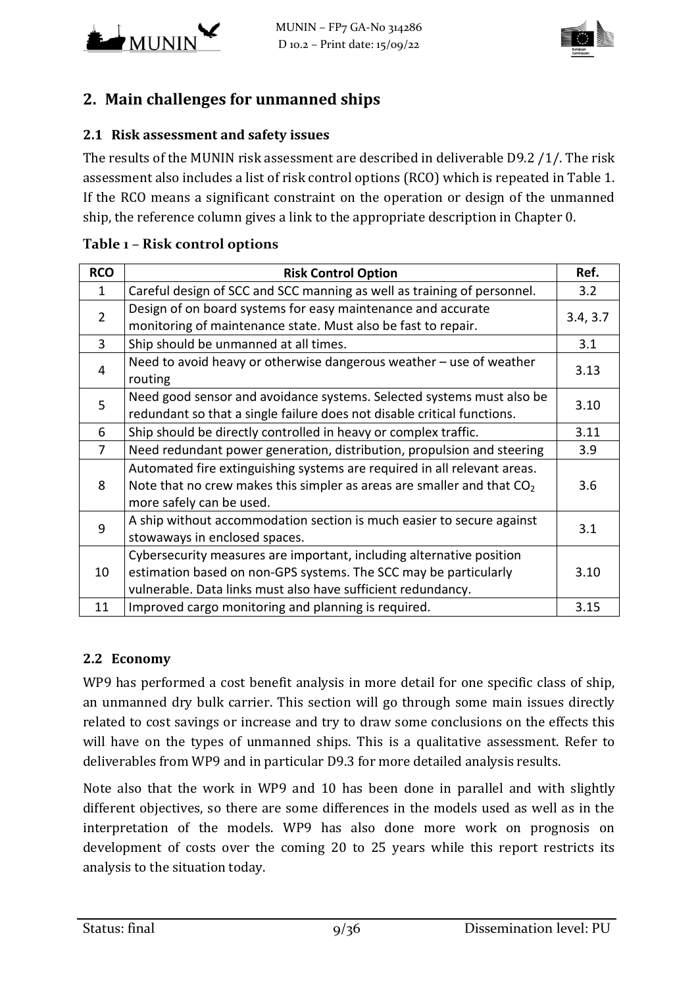



# **2. Main challenges for unmanned ships**

## **2.1 Risk assessment and safety issues**

The results of the MUNIN risk assessment are described in deliverable D9.2 [/1/.](#page-34-2) The risk assessment also includes a list of risk control options (RCO) which is repeated in [Table 1.](#page-8-0) If the RCO means a significant constraint on the operation or design of the unmanned ship, the reference column gives a link to the appropriate description in Chapter [0.](#page-12-0)

| <b>RCO</b>     | <b>Risk Control Option</b>                                                     | Ref.     |
|----------------|--------------------------------------------------------------------------------|----------|
| 1              | Careful design of SCC and SCC manning as well as training of personnel.<br>3.2 |          |
| $\overline{2}$ | Design of on board systems for easy maintenance and accurate                   |          |
|                | monitoring of maintenance state. Must also be fast to repair.                  | 3.4, 3.7 |
| 3              | Ship should be unmanned at all times.                                          | 3.1      |
| 4              | Need to avoid heavy or otherwise dangerous weather - use of weather<br>routing | 3.13     |
| 5              | Need good sensor and avoidance systems. Selected systems must also be          | 3.10     |
|                | redundant so that a single failure does not disable critical functions.        |          |
| 6              | Ship should be directly controlled in heavy or complex traffic.                | 3.11     |
| 7              | Need redundant power generation, distribution, propulsion and steering         | 3.9      |
|                | Automated fire extinguishing systems are required in all relevant areas.       |          |
| 8              | Note that no crew makes this simpler as areas are smaller and that $CO2$       | 3.6      |
|                | more safely can be used.                                                       |          |
| 9              | A ship without accommodation section is much easier to secure against          | 3.1      |
|                | stowaways in enclosed spaces.                                                  |          |
| 10             | Cybersecurity measures are important, including alternative position           |          |
|                | estimation based on non-GPS systems. The SCC may be particularly               | 3.10     |
|                | vulnerable. Data links must also have sufficient redundancy.                   |          |
| 11             | Improved cargo monitoring and planning is required.                            | 3.15     |

#### <span id="page-8-0"></span>**Table 1 – Risk control options**

#### **2.2 Economy**

WP9 has performed a cost benefit analysis in more detail for one specific class of ship, an unmanned dry bulk carrier. This section will go through some main issues directly related to cost savings or increase and try to draw some conclusions on the effects this will have on the types of unmanned ships. This is a qualitative assessment. Refer to deliverables from WP9 and in particular D9.3 for more detailed analysis results.

Note also that the work in WP9 and 10 has been done in parallel and with slightly different objectives, so there are some differences in the models used as well as in the interpretation of the models. WP9 has also done more work on prognosis on development of costs over the coming 20 to 25 years while this report restricts its analysis to the situation today.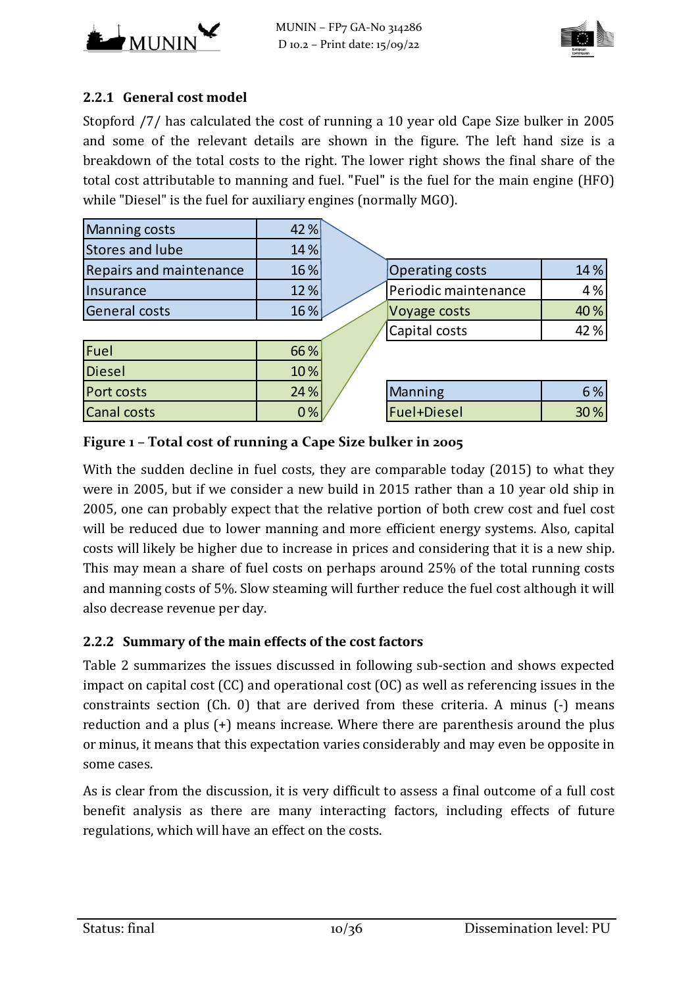



## **2.2.1 General cost model**

Stopford [/7/](#page-34-3) has calculated the cost of running a 10 year old Cape Size bulker in 2005 and some of the relevant details are shown in the figure. The left hand size is a breakdown of the total costs to the right. The lower right shows the final share of the total cost attributable to manning and fuel. "Fuel" is the fuel for the main engine (HFO) while "Diesel" is the fuel for auxiliary engines (normally MGO).

| <b>Manning costs</b>           | 42%  |                        |     |
|--------------------------------|------|------------------------|-----|
| Stores and lube                | 14 % |                        |     |
| <b>Repairs and maintenance</b> | 16 % | <b>Operating costs</b> | 14% |
| Insurance                      | 12 % | Periodic maintenance   | 4%  |
| <b>General costs</b>           | 16%  | Voyage costs           | 40% |
|                                |      | Capital costs          | 42% |
| Fuel                           | 66 % |                        |     |
| Diesel                         | 10%  |                        |     |
| Port costs                     | 24 % | <b>Manning</b>         | 6%  |
| <b>Canal costs</b>             | 0%   | Fuel+Diesel            | 30% |

#### **Figure 1 – Total cost of running a Cape Size bulker in 2005**

With the sudden decline in fuel costs, they are comparable today (2015) to what they were in 2005, but if we consider a new build in 2015 rather than a 10 year old ship in 2005, one can probably expect that the relative portion of both crew cost and fuel cost will be reduced due to lower manning and more efficient energy systems. Also, capital costs will likely be higher due to increase in prices and considering that it is a new ship. This may mean a share of fuel costs on perhaps around 25% of the total running costs and manning costs of 5%. Slow steaming will further reduce the fuel cost although it will also decrease revenue per day.

#### **2.2.2 Summary of the main effects of the cost factors**

[Table 2](#page-10-0) summarizes the issues discussed in following sub-section and shows expected impact on capital cost (CC) and operational cost (OC) as well as referencing issues in the constraints section (Ch. [0\)](#page-12-0) that are derived from these criteria. A minus (-) means reduction and a plus (+) means increase. Where there are parenthesis around the plus or minus, it means that this expectation varies considerably and may even be opposite in some cases.

As is clear from the discussion, it is very difficult to assess a final outcome of a full cost benefit analysis as there are many interacting factors, including effects of future regulations, which will have an effect on the costs.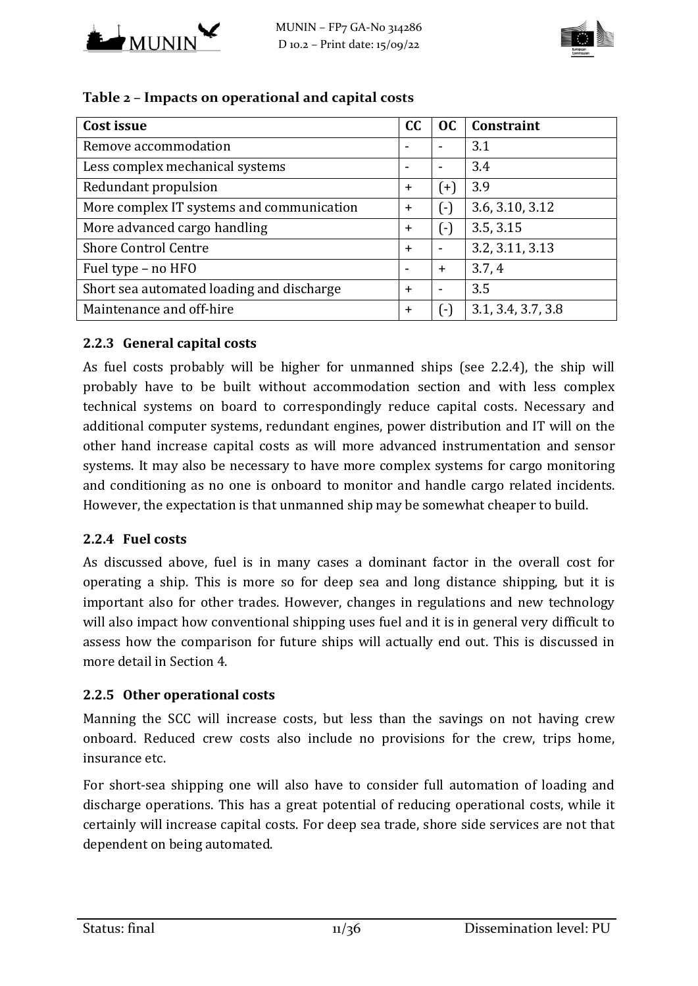



| Cost issue                                | <b>CC</b> | OC                       | Constraint         |
|-------------------------------------------|-----------|--------------------------|--------------------|
| Remove accommodation                      |           |                          | 3.1                |
| Less complex mechanical systems           | ۰         | $\overline{\phantom{a}}$ | 3.4                |
| Redundant propulsion                      | $+$       | $(+)$                    | 3.9                |
| More complex IT systems and communication | $\ddot{}$ | ( - )                    | 3.6, 3.10, 3.12    |
| More advanced cargo handling              | $\ddot{}$ | $(\cdot)$                | 3.5, 3.15          |
| <b>Shore Control Centre</b>               | $+$       |                          | 3.2, 3.11, 3.13    |
| Fuel type - no HFO                        |           | $+$                      | 3.7, 4             |
| Short sea automated loading and discharge | $\ddot{}$ | $\blacksquare$           | 3.5                |
| Maintenance and off-hire                  | $+$       | $\overline{(-)}$         | 3.1, 3.4, 3.7, 3.8 |

#### <span id="page-10-0"></span>**Table 2 – Impacts on operational and capital costs**

#### **2.2.3 General capital costs**

As fuel costs probably will be higher for unmanned ships (see [2.2.4\)](#page-10-1), the ship will probably have to be built without accommodation section and with less complex technical systems on board to correspondingly reduce capital costs. Necessary and additional computer systems, redundant engines, power distribution and IT will on the other hand increase capital costs as will more advanced instrumentation and sensor systems. It may also be necessary to have more complex systems for cargo monitoring and conditioning as no one is onboard to monitor and handle cargo related incidents. However, the expectation is that unmanned ship may be somewhat cheaper to build.

#### <span id="page-10-1"></span>**2.2.4 Fuel costs**

As discussed above, fuel is in many cases a dominant factor in the overall cost for operating a ship. This is more so for deep sea and long distance shipping, but it is important also for other trades. However, changes in regulations and new technology will also impact how conventional shipping uses fuel and it is in general very difficult to assess how the comparison for future ships will actually end out. This is discussed in more detail in Section [4.](#page-20-0)

#### **2.2.5 Other operational costs**

Manning the SCC will increase costs, but less than the savings on not having crew onboard. Reduced crew costs also include no provisions for the crew, trips home, insurance etc.

For short-sea shipping one will also have to consider full automation of loading and discharge operations. This has a great potential of reducing operational costs, while it certainly will increase capital costs. For deep sea trade, shore side services are not that dependent on being automated.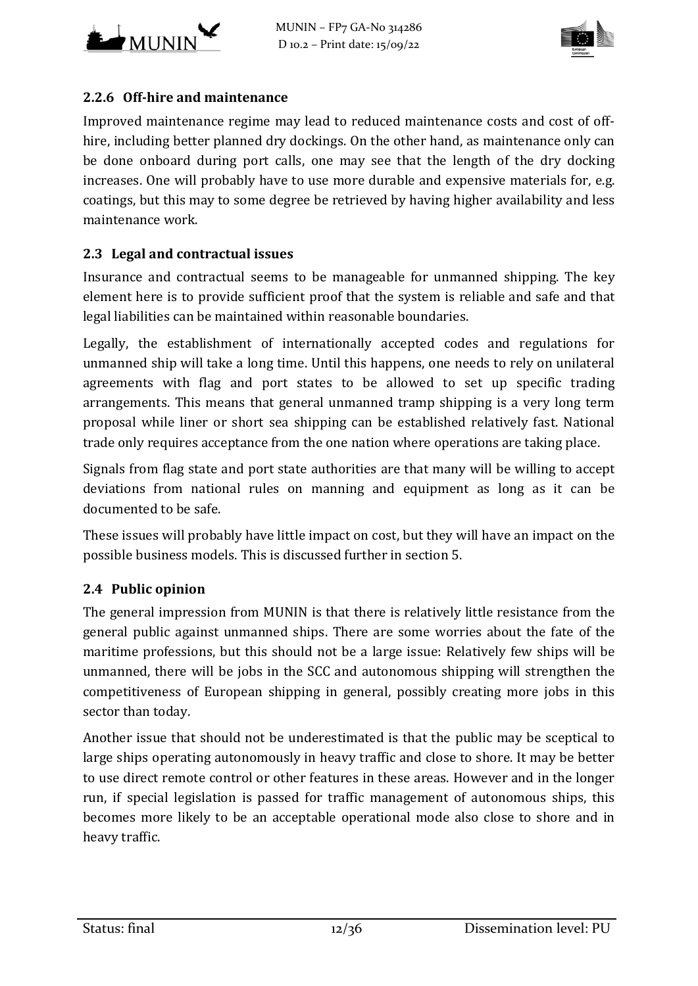



## **2.2.6 Off-hire and maintenance**

Improved maintenance regime may lead to reduced maintenance costs and cost of offhire, including better planned dry dockings. On the other hand, as maintenance only can be done onboard during port calls, one may see that the length of the dry docking increases. One will probably have to use more durable and expensive materials for, e.g. coatings, but this may to some degree be retrieved by having higher availability and less maintenance work.

## **2.3 Legal and contractual issues**

Insurance and contractual seems to be manageable for unmanned shipping. The key element here is to provide sufficient proof that the system is reliable and safe and that legal liabilities can be maintained within reasonable boundaries.

Legally, the establishment of internationally accepted codes and regulations for unmanned ship will take a long time. Until this happens, one needs to rely on unilateral agreements with flag and port states to be allowed to set up specific trading arrangements. This means that general unmanned tramp shipping is a very long term proposal while liner or short sea shipping can be established relatively fast. National trade only requires acceptance from the one nation where operations are taking place.

Signals from flag state and port state authorities are that many will be willing to accept deviations from national rules on manning and equipment as long as it can be documented to be safe.

These issues will probably have little impact on cost, but they will have an impact on the possible business models. This is discussed further in section [5.](#page-26-0)

#### **2.4 Public opinion**

The general impression from MUNIN is that there is relatively little resistance from the general public against unmanned ships. There are some worries about the fate of the maritime professions, but this should not be a large issue: Relatively few ships will be unmanned, there will be jobs in the SCC and autonomous shipping will strengthen the competitiveness of European shipping in general, possibly creating more jobs in this sector than today.

Another issue that should not be underestimated is that the public may be sceptical to large ships operating autonomously in heavy traffic and close to shore. It may be better to use direct remote control or other features in these areas. However and in the longer run, if special legislation is passed for traffic management of autonomous ships, this becomes more likely to be an acceptable operational mode also close to shore and in heavy traffic.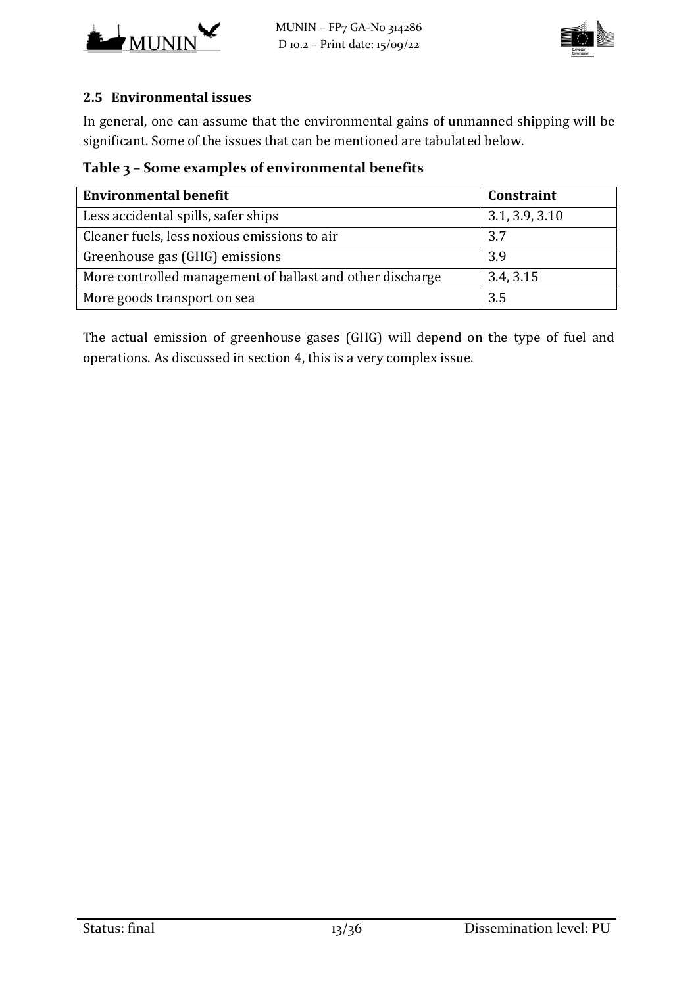



### **2.5 Environmental issues**

In general, one can assume that the environmental gains of unmanned shipping will be significant. Some of the issues that can be mentioned are tabulated below.

## **Table 3 – Some examples of environmental benefits**

| <b>Environmental benefit</b>                              | Constraint     |
|-----------------------------------------------------------|----------------|
| Less accidental spills, safer ships                       | 3.1, 3.9, 3.10 |
| Cleaner fuels, less noxious emissions to air              | 3.7            |
| Greenhouse gas (GHG) emissions                            | 3.9            |
| More controlled management of ballast and other discharge | 3.4, 3.15      |
| More goods transport on sea                               | 3.5            |

<span id="page-12-0"></span>The actual emission of greenhouse gases (GHG) will depend on the type of fuel and operations. As discussed in section [4,](#page-20-0) this is a very complex issue.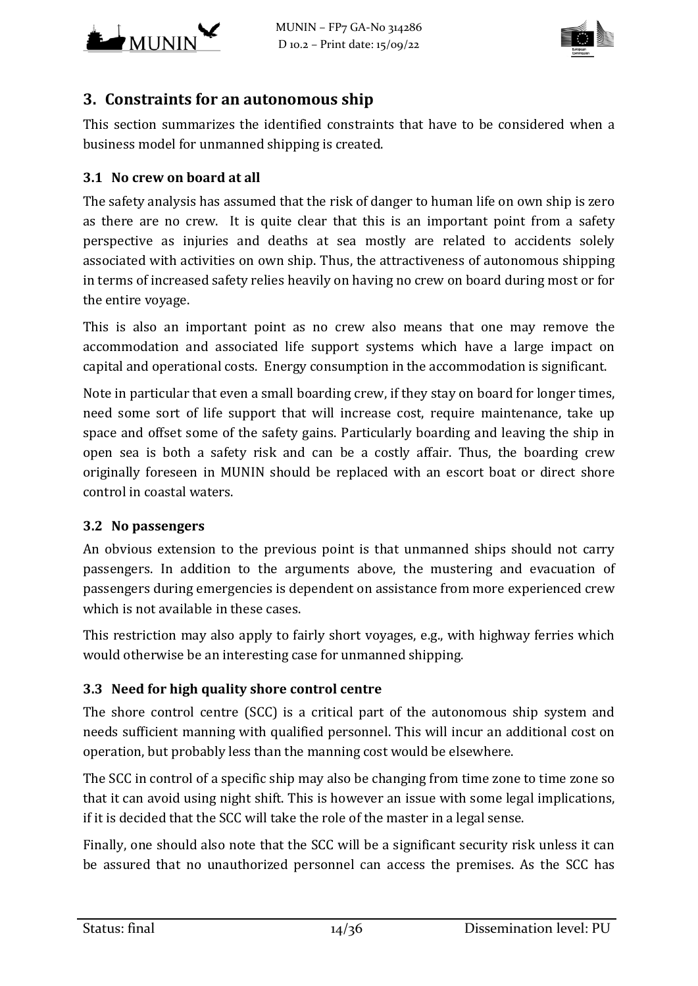



## **3. Constraints for an autonomous ship**

This section summarizes the identified constraints that have to be considered when a business model for unmanned shipping is created.

### <span id="page-13-1"></span>**3.1 No crew on board at all**

The safety analysis has assumed that the risk of danger to human life on own ship is zero as there are no crew. It is quite clear that this is an important point from a safety perspective as injuries and deaths at sea mostly are related to accidents solely associated with activities on own ship. Thus, the attractiveness of autonomous shipping in terms of increased safety relies heavily on having no crew on board during most or for the entire voyage.

This is also an important point as no crew also means that one may remove the accommodation and associated life support systems which have a large impact on capital and operational costs. Energy consumption in the accommodation is significant.

Note in particular that even a small boarding crew, if they stay on board for longer times, need some sort of life support that will increase cost, require maintenance, take up space and offset some of the safety gains. Particularly boarding and leaving the ship in open sea is both a safety risk and can be a costly affair. Thus, the boarding crew originally foreseen in MUNIN should be replaced with an escort boat or direct shore control in coastal waters.

#### <span id="page-13-0"></span>**3.2 No passengers**

An obvious extension to the previous point is that unmanned ships should not carry passengers. In addition to the arguments above, the mustering and evacuation of passengers during emergencies is dependent on assistance from more experienced crew which is not available in these cases.

This restriction may also apply to fairly short voyages, e.g., with highway ferries which would otherwise be an interesting case for unmanned shipping.

#### **3.3 Need for high quality shore control centre**

The shore control centre (SCC) is a critical part of the autonomous ship system and needs sufficient manning with qualified personnel. This will incur an additional cost on operation, but probably less than the manning cost would be elsewhere.

The SCC in control of a specific ship may also be changing from time zone to time zone so that it can avoid using night shift. This is however an issue with some legal implications, if it is decided that the SCC will take the role of the master in a legal sense.

Finally, one should also note that the SCC will be a significant security risk unless it can be assured that no unauthorized personnel can access the premises. As the SCC has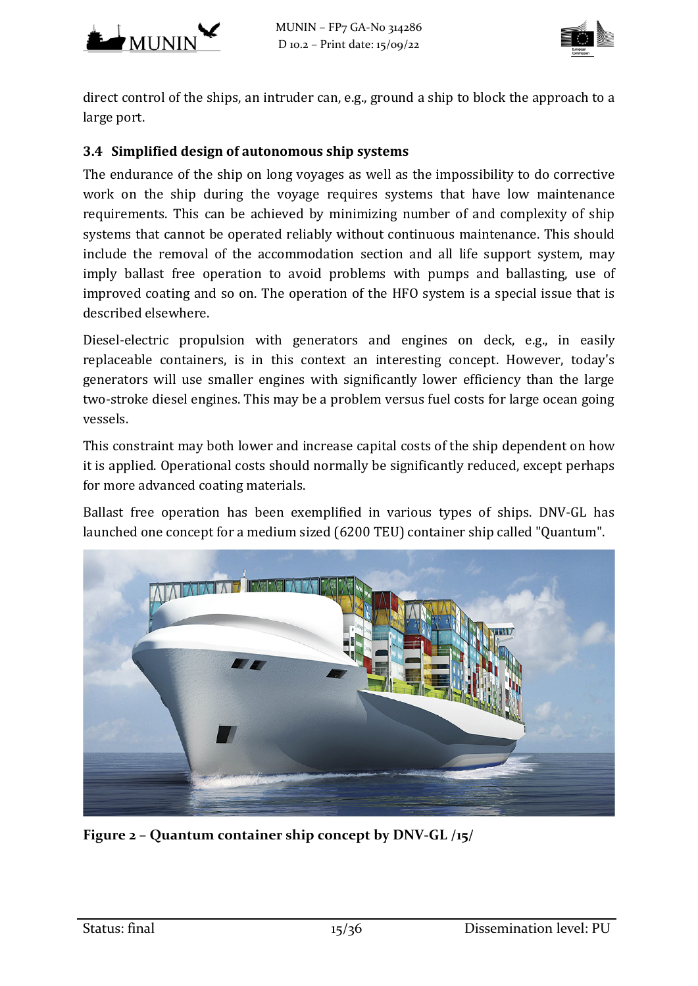



direct control of the ships, an intruder can, e.g., ground a ship to block the approach to a large port.

### <span id="page-14-0"></span>**3.4 Simplified design of autonomous ship systems**

The endurance of the ship on long voyages as well as the impossibility to do corrective work on the ship during the voyage requires systems that have low maintenance requirements. This can be achieved by minimizing number of and complexity of ship systems that cannot be operated reliably without continuous maintenance. This should include the removal of the accommodation section and all life support system, may imply ballast free operation to avoid problems with pumps and ballasting, use of improved coating and so on. The operation of the HFO system is a special issue that is described elsewhere.

Diesel-electric propulsion with generators and engines on deck, e.g., in easily replaceable containers, is in this context an interesting concept. However, today's generators will use smaller engines with significantly lower efficiency than the large two-stroke diesel engines. This may be a problem versus fuel costs for large ocean going vessels.

This constraint may both lower and increase capital costs of the ship dependent on how it is applied. Operational costs should normally be significantly reduced, except perhaps for more advanced coating materials.

Ballast free operation has been exemplified in various types of ships. DNV-GL has launched one concept for a medium sized (6200 TEU) container ship called "Quantum".



**Figure 2 – Quantum container ship concept by DNV-GL [/15/](#page-35-0)**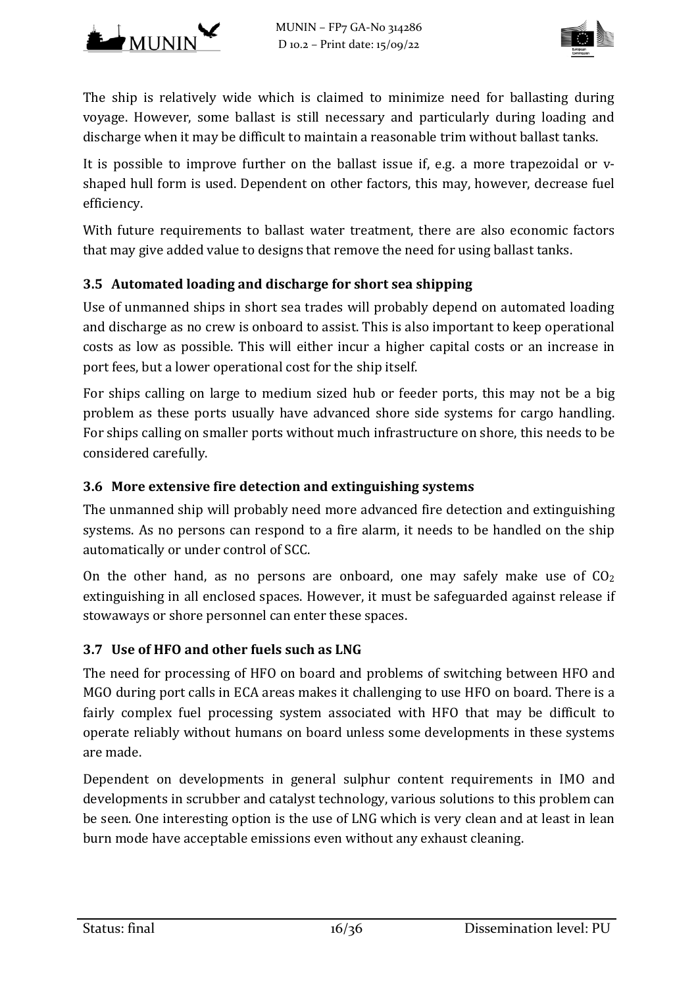



The ship is relatively wide which is claimed to minimize need for ballasting during voyage. However, some ballast is still necessary and particularly during loading and discharge when it may be difficult to maintain a reasonable trim without ballast tanks.

It is possible to improve further on the ballast issue if, e.g. a more trapezoidal or vshaped hull form is used. Dependent on other factors, this may, however, decrease fuel efficiency.

With future requirements to ballast water treatment, there are also economic factors that may give added value to designs that remove the need for using ballast tanks.

## <span id="page-15-2"></span>**3.5 Automated loading and discharge for short sea shipping**

Use of unmanned ships in short sea trades will probably depend on automated loading and discharge as no crew is onboard to assist. This is also important to keep operational costs as low as possible. This will either incur a higher capital costs or an increase in port fees, but a lower operational cost for the ship itself.

For ships calling on large to medium sized hub or feeder ports, this may not be a big problem as these ports usually have advanced shore side systems for cargo handling. For ships calling on smaller ports without much infrastructure on shore, this needs to be considered carefully.

### <span id="page-15-1"></span>**3.6 More extensive fire detection and extinguishing systems**

The unmanned ship will probably need more advanced fire detection and extinguishing systems. As no persons can respond to a fire alarm, it needs to be handled on the ship automatically or under control of SCC.

On the other hand, as no persons are onboard, one may safely make use of  $CO<sub>2</sub>$ extinguishing in all enclosed spaces. However, it must be safeguarded against release if stowaways or shore personnel can enter these spaces.

#### <span id="page-15-0"></span>**3.7 Use of HFO and other fuels such as LNG**

The need for processing of HFO on board and problems of switching between HFO and MGO during port calls in ECA areas makes it challenging to use HFO on board. There is a fairly complex fuel processing system associated with HFO that may be difficult to operate reliably without humans on board unless some developments in these systems are made.

Dependent on developments in general sulphur content requirements in IMO and developments in scrubber and catalyst technology, various solutions to this problem can be seen. One interesting option is the use of LNG which is very clean and at least in lean burn mode have acceptable emissions even without any exhaust cleaning.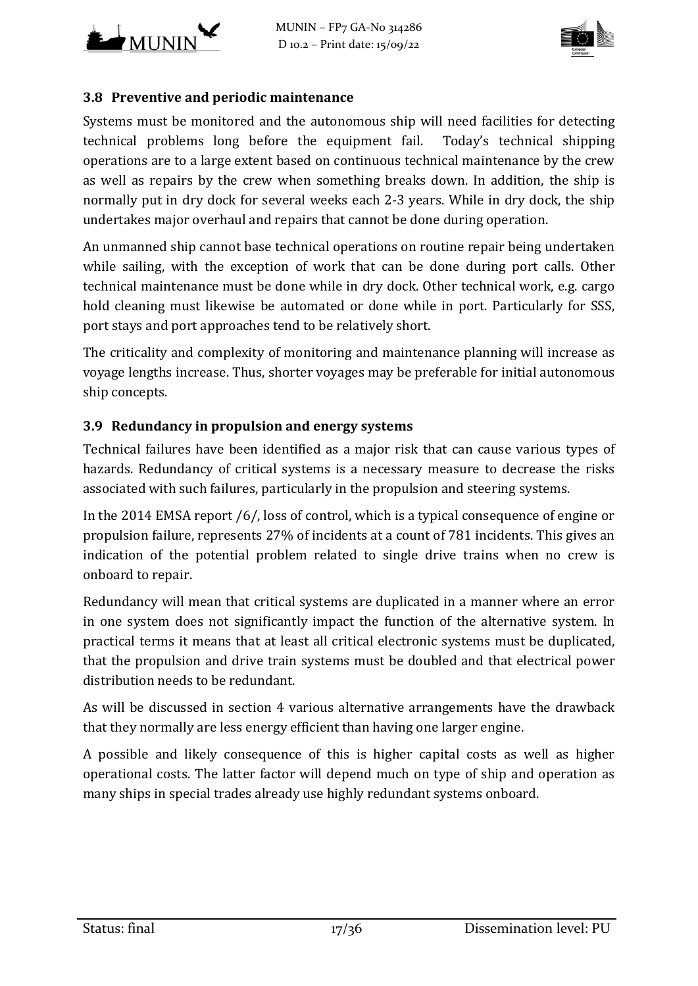



#### <span id="page-16-1"></span>**3.8 Preventive and periodic maintenance**

Systems must be monitored and the autonomous ship will need facilities for detecting technical problems long before the equipment fail. Today's technical shipping operations are to a large extent based on continuous technical maintenance by the crew as well as repairs by the crew when something breaks down. In addition, the ship is normally put in dry dock for several weeks each 2-3 years. While in dry dock, the ship undertakes major overhaul and repairs that cannot be done during operation.

An unmanned ship cannot base technical operations on routine repair being undertaken while sailing, with the exception of work that can be done during port calls. Other technical maintenance must be done while in dry dock. Other technical work, e.g. cargo hold cleaning must likewise be automated or done while in port. Particularly for SSS, port stays and port approaches tend to be relatively short.

The criticality and complexity of monitoring and maintenance planning will increase as voyage lengths increase. Thus, shorter voyages may be preferable for initial autonomous ship concepts.

#### <span id="page-16-0"></span>**3.9 Redundancy in propulsion and energy systems**

Technical failures have been identified as a major risk that can cause various types of hazards. Redundancy of critical systems is a necessary measure to decrease the risks associated with such failures, particularly in the propulsion and steering systems.

In the 2014 EMSA report [/6/,](#page-34-4) loss of control, which is a typical consequence of engine or propulsion failure, represents 27% of incidents at a count of 781 incidents. This gives an indication of the potential problem related to single drive trains when no crew is onboard to repair.

Redundancy will mean that critical systems are duplicated in a manner where an error in one system does not significantly impact the function of the alternative system. In practical terms it means that at least all critical electronic systems must be duplicated, that the propulsion and drive train systems must be doubled and that electrical power distribution needs to be redundant.

As will be discussed in section [4](#page-20-0) various alternative arrangements have the drawback that they normally are less energy efficient than having one larger engine.

A possible and likely consequence of this is higher capital costs as well as higher operational costs. The latter factor will depend much on type of ship and operation as many ships in special trades already use highly redundant systems onboard.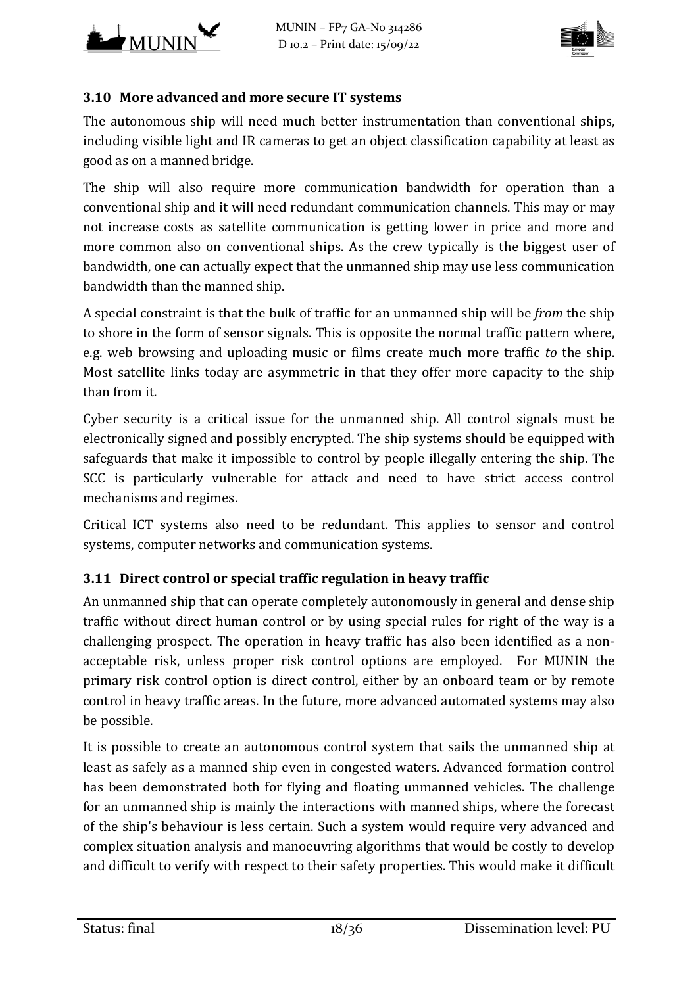



### <span id="page-17-0"></span>**3.10 More advanced and more secure IT systems**

The autonomous ship will need much better instrumentation than conventional ships, including visible light and IR cameras to get an object classification capability at least as good as on a manned bridge.

The ship will also require more communication bandwidth for operation than a conventional ship and it will need redundant communication channels. This may or may not increase costs as satellite communication is getting lower in price and more and more common also on conventional ships. As the crew typically is the biggest user of bandwidth, one can actually expect that the unmanned ship may use less communication bandwidth than the manned ship.

A special constraint is that the bulk of traffic for an unmanned ship will be *from* the ship to shore in the form of sensor signals. This is opposite the normal traffic pattern where, e.g. web browsing and uploading music or films create much more traffic *to* the ship. Most satellite links today are asymmetric in that they offer more capacity to the ship than from it.

Cyber security is a critical issue for the unmanned ship. All control signals must be electronically signed and possibly encrypted. The ship systems should be equipped with safeguards that make it impossible to control by people illegally entering the ship. The SCC is particularly vulnerable for attack and need to have strict access control mechanisms and regimes.

Critical ICT systems also need to be redundant. This applies to sensor and control systems, computer networks and communication systems.

#### <span id="page-17-1"></span>**3.11 Direct control or special traffic regulation in heavy traffic**

An unmanned ship that can operate completely autonomously in general and dense ship traffic without direct human control or by using special rules for right of the way is a challenging prospect. The operation in heavy traffic has also been identified as a nonacceptable risk, unless proper risk control options are employed. For MUNIN the primary risk control option is direct control, either by an onboard team or by remote control in heavy traffic areas. In the future, more advanced automated systems may also be possible.

It is possible to create an autonomous control system that sails the unmanned ship at least as safely as a manned ship even in congested waters. Advanced formation control has been demonstrated both for flying and floating unmanned vehicles. The challenge for an unmanned ship is mainly the interactions with manned ships, where the forecast of the ship's behaviour is less certain. Such a system would require very advanced and complex situation analysis and manoeuvring algorithms that would be costly to develop and difficult to verify with respect to their safety properties. This would make it difficult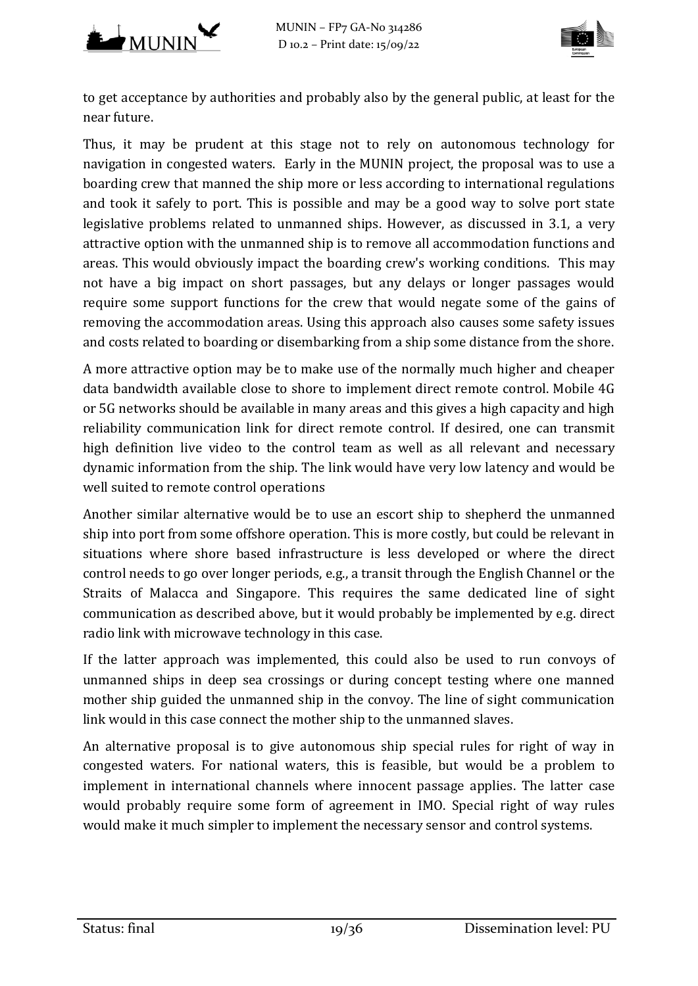



to get acceptance by authorities and probably also by the general public, at least for the near future.

Thus, it may be prudent at this stage not to rely on autonomous technology for navigation in congested waters. Early in the MUNIN project, the proposal was to use a boarding crew that manned the ship more or less according to international regulations and took it safely to port. This is possible and may be a good way to solve port state legislative problems related to unmanned ships. However, as discussed in [3.1,](#page-13-1) a very attractive option with the unmanned ship is to remove all accommodation functions and areas. This would obviously impact the boarding crew's working conditions. This may not have a big impact on short passages, but any delays or longer passages would require some support functions for the crew that would negate some of the gains of removing the accommodation areas. Using this approach also causes some safety issues and costs related to boarding or disembarking from a ship some distance from the shore.

A more attractive option may be to make use of the normally much higher and cheaper data bandwidth available close to shore to implement direct remote control. Mobile 4G or 5G networks should be available in many areas and this gives a high capacity and high reliability communication link for direct remote control. If desired, one can transmit high definition live video to the control team as well as all relevant and necessary dynamic information from the ship. The link would have very low latency and would be well suited to remote control operations

Another similar alternative would be to use an escort ship to shepherd the unmanned ship into port from some offshore operation. This is more costly, but could be relevant in situations where shore based infrastructure is less developed or where the direct control needs to go over longer periods, e.g., a transit through the English Channel or the Straits of Malacca and Singapore. This requires the same dedicated line of sight communication as described above, but it would probably be implemented by e.g. direct radio link with microwave technology in this case.

If the latter approach was implemented, this could also be used to run convoys of unmanned ships in deep sea crossings or during concept testing where one manned mother ship guided the unmanned ship in the convoy. The line of sight communication link would in this case connect the mother ship to the unmanned slaves.

An alternative proposal is to give autonomous ship special rules for right of way in congested waters. For national waters, this is feasible, but would be a problem to implement in international channels where innocent passage applies. The latter case would probably require some form of agreement in IMO. Special right of way rules would make it much simpler to implement the necessary sensor and control systems.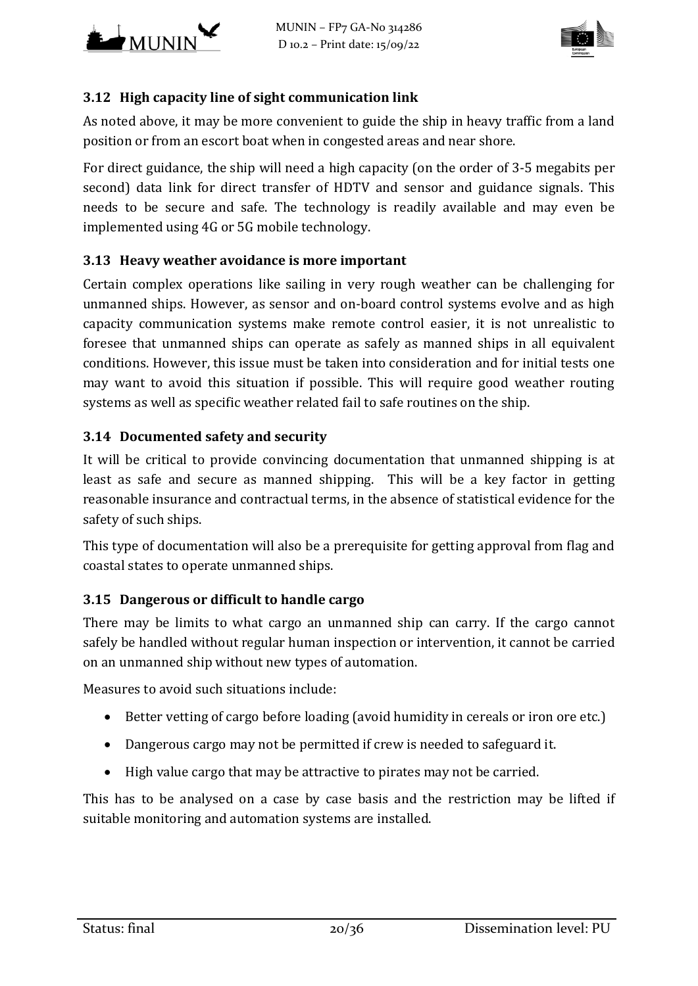



#### <span id="page-19-2"></span>**3.12 High capacity line of sight communication link**

As noted above, it may be more convenient to guide the ship in heavy traffic from a land position or from an escort boat when in congested areas and near shore.

For direct guidance, the ship will need a high capacity (on the order of 3-5 megabits per second) data link for direct transfer of HDTV and sensor and guidance signals. This needs to be secure and safe. The technology is readily available and may even be implemented using 4G or 5G mobile technology.

#### <span id="page-19-0"></span>**3.13 Heavy weather avoidance is more important**

Certain complex operations like sailing in very rough weather can be challenging for unmanned ships. However, as sensor and on-board control systems evolve and as high capacity communication systems make remote control easier, it is not unrealistic to foresee that unmanned ships can operate as safely as manned ships in all equivalent conditions. However, this issue must be taken into consideration and for initial tests one may want to avoid this situation if possible. This will require good weather routing systems as well as specific weather related fail to safe routines on the ship.

#### **3.14 Documented safety and security**

It will be critical to provide convincing documentation that unmanned shipping is at least as safe and secure as manned shipping. This will be a key factor in getting reasonable insurance and contractual terms, in the absence of statistical evidence for the safety of such ships.

This type of documentation will also be a prerequisite for getting approval from flag and coastal states to operate unmanned ships.

#### <span id="page-19-1"></span>**3.15 Dangerous or difficult to handle cargo**

There may be limits to what cargo an unmanned ship can carry. If the cargo cannot safely be handled without regular human inspection or intervention, it cannot be carried on an unmanned ship without new types of automation.

Measures to avoid such situations include:

- Better vetting of cargo before loading (avoid humidity in cereals or iron ore etc.)
- Dangerous cargo may not be permitted if crew is needed to safeguard it.
- High value cargo that may be attractive to pirates may not be carried.

This has to be analysed on a case by case basis and the restriction may be lifted if suitable monitoring and automation systems are installed.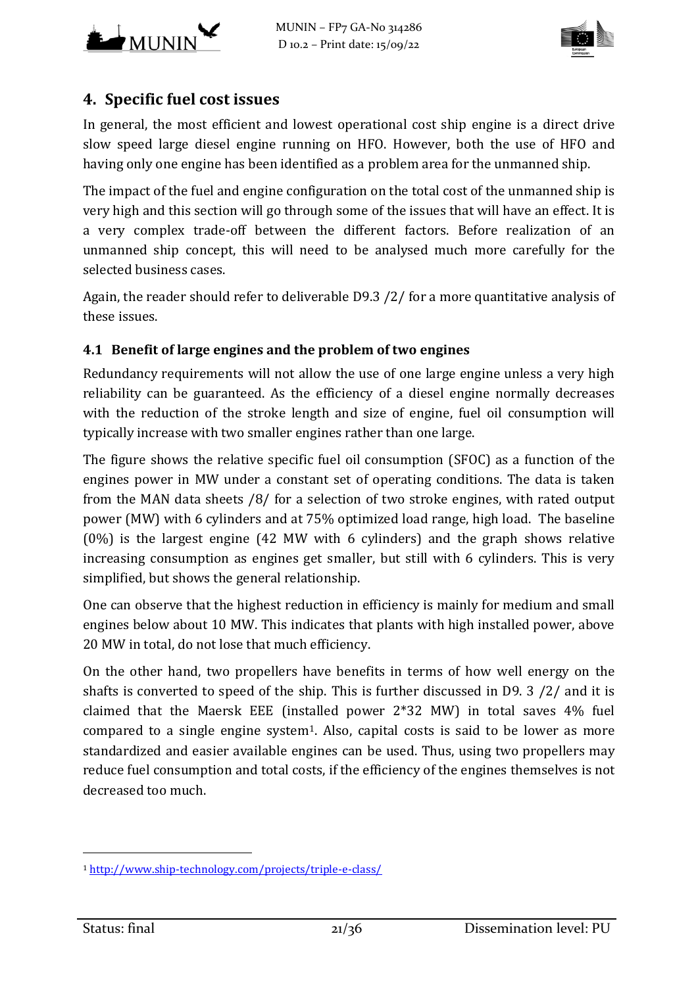



# <span id="page-20-0"></span>**4. Specific fuel cost issues**

In general, the most efficient and lowest operational cost ship engine is a direct drive slow speed large diesel engine running on HFO. However, both the use of HFO and having only one engine has been identified as a problem area for the unmanned ship.

The impact of the fuel and engine configuration on the total cost of the unmanned ship is very high and this section will go through some of the issues that will have an effect. It is a very complex trade-off between the different factors. Before realization of an unmanned ship concept, this will need to be analysed much more carefully for the selected business cases.

Again, the reader should refer to deliverable D9.3 [/2/](#page-34-1) for a more quantitative analysis of these issues.

## **4.1 Benefit of large engines and the problem of two engines**

Redundancy requirements will not allow the use of one large engine unless a very high reliability can be guaranteed. As the efficiency of a diesel engine normally decreases with the reduction of the stroke length and size of engine, fuel oil consumption will typically increase with two smaller engines rather than one large.

The figure shows the relative specific fuel oil consumption (SFOC) as a function of the engines power in MW under a constant set of operating conditions. The data is taken from the MAN data sheets [/8/](#page-34-5) for a selection of two stroke engines, with rated output power (MW) with 6 cylinders and at 75% optimized load range, high load. The baseline (0%) is the largest engine (42 MW with 6 cylinders) and the graph shows relative increasing consumption as engines get smaller, but still with 6 cylinders. This is very simplified, but shows the general relationship.

One can observe that the highest reduction in efficiency is mainly for medium and small engines below about 10 MW. This indicates that plants with high installed power, above 20 MW in total, do not lose that much efficiency.

On the other hand, two propellers have benefits in terms of how well energy on the shafts is converted to speed of the ship. This is further discussed in D9. 3 [/2/](#page-34-1) and it is claimed that the Maersk EEE (installed power 2\*32 MW) in total saves 4% fuel compared to a single engine system<sup>1</sup>. Also, capital costs is said to be lower as more standardized and easier available engines can be used. Thus, using two propellers may reduce fuel consumption and total costs, if the efficiency of the engines themselves is not decreased too much.

<span id="page-20-1"></span>i<br>I <sup>1</sup> <http://www.ship-technology.com/projects/triple-e-class/>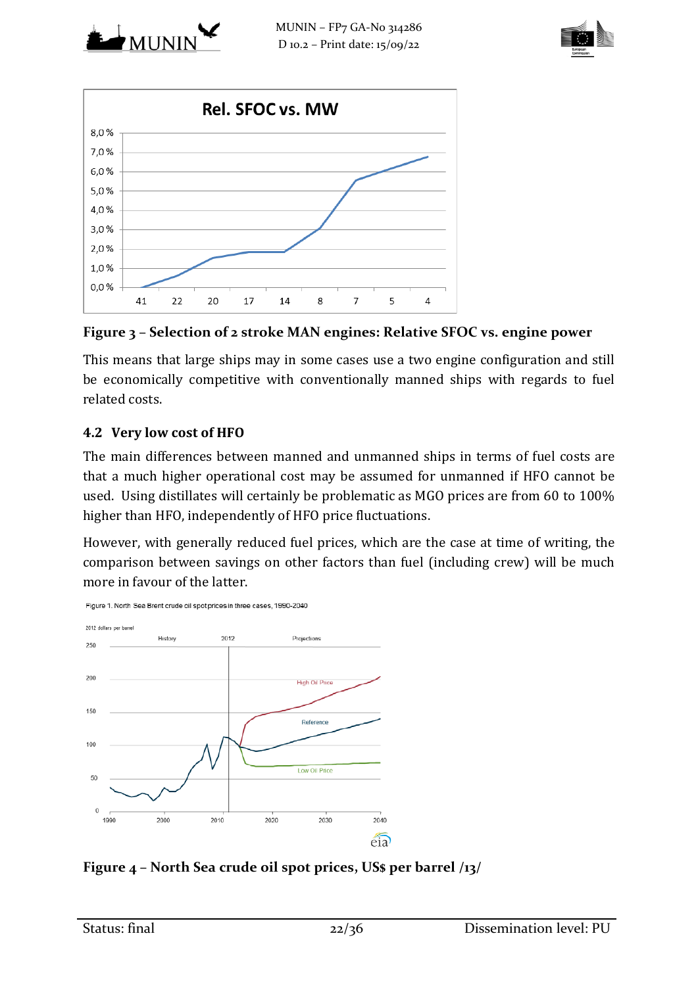





<span id="page-21-1"></span>**Figure 3 – Selection of 2 stroke MAN engines: Relative SFOC vs. engine power**

This means that large ships may in some cases use a two engine configuration and still be economically competitive with conventionally manned ships with regards to fuel related costs.

## **4.2 Very low cost of HFO**

The main differences between manned and unmanned ships in terms of fuel costs are that a much higher operational cost may be assumed for unmanned if HFO cannot be used. Using distillates will certainly be problematic as MGO prices are from 60 to 100% higher than HFO, independently of HFO price fluctuations.

However, with generally reduced fuel prices, which are the case at time of writing, the comparison between savings on other factors than fuel (including crew) will be much more in favour of the latter.



<span id="page-21-0"></span>**Figure 4 – North Sea crude oil spot prices, US\$ per barrel [/13/](#page-34-6)**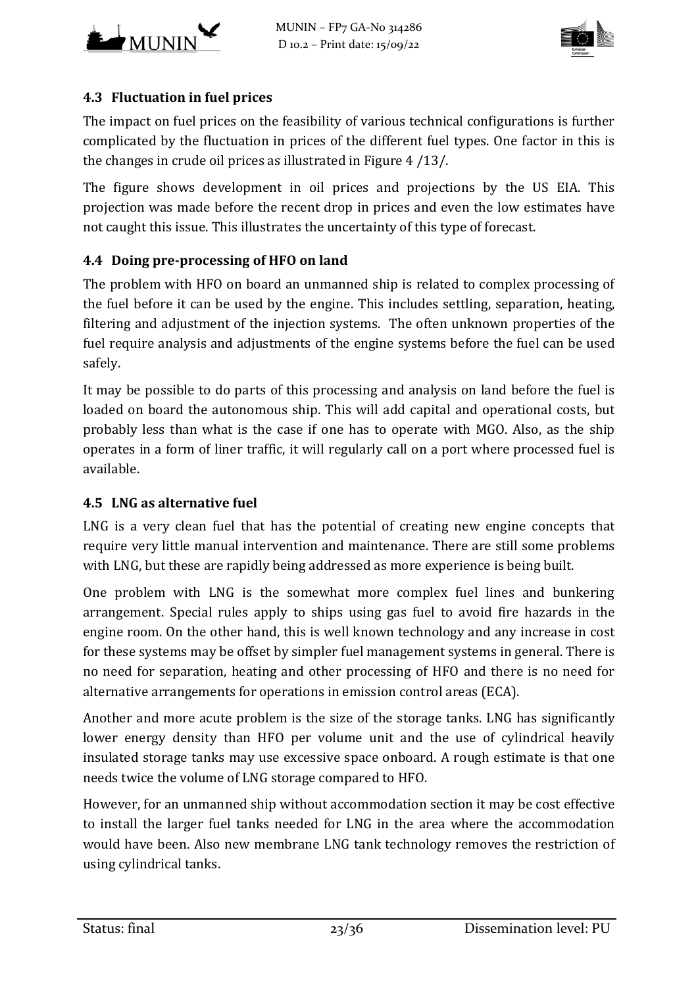



### **4.3 Fluctuation in fuel prices**

The impact on fuel prices on the feasibility of various technical configurations is further complicated by the fluctuation in prices of the different fuel types. One factor in this is the changes in crude oil prices as illustrated in [Figure 4](#page-21-0) [/13/.](#page-34-6)

The figure shows development in oil prices and projections by the US EIA. This projection was made before the recent drop in prices and even the low estimates have not caught this issue. This illustrates the uncertainty of this type of forecast.

## **4.4 Doing pre-processing of HFO on land**

The problem with HFO on board an unmanned ship is related to complex processing of the fuel before it can be used by the engine. This includes settling, separation, heating, filtering and adjustment of the injection systems. The often unknown properties of the fuel require analysis and adjustments of the engine systems before the fuel can be used safely.

It may be possible to do parts of this processing and analysis on land before the fuel is loaded on board the autonomous ship. This will add capital and operational costs, but probably less than what is the case if one has to operate with MGO. Also, as the ship operates in a form of liner traffic, it will regularly call on a port where processed fuel is available.

#### **4.5 LNG as alternative fuel**

LNG is a very clean fuel that has the potential of creating new engine concepts that require very little manual intervention and maintenance. There are still some problems with LNG, but these are rapidly being addressed as more experience is being built.

One problem with LNG is the somewhat more complex fuel lines and bunkering arrangement. Special rules apply to ships using gas fuel to avoid fire hazards in the engine room. On the other hand, this is well known technology and any increase in cost for these systems may be offset by simpler fuel management systems in general. There is no need for separation, heating and other processing of HFO and there is no need for alternative arrangements for operations in emission control areas (ECA).

Another and more acute problem is the size of the storage tanks. LNG has significantly lower energy density than HFO per volume unit and the use of cylindrical heavily insulated storage tanks may use excessive space onboard. A rough estimate is that one needs twice the volume of LNG storage compared to HFO.

However, for an unmanned ship without accommodation section it may be cost effective to install the larger fuel tanks needed for LNG in the area where the accommodation would have been. Also new membrane LNG tank technology removes the restriction of using cylindrical tanks.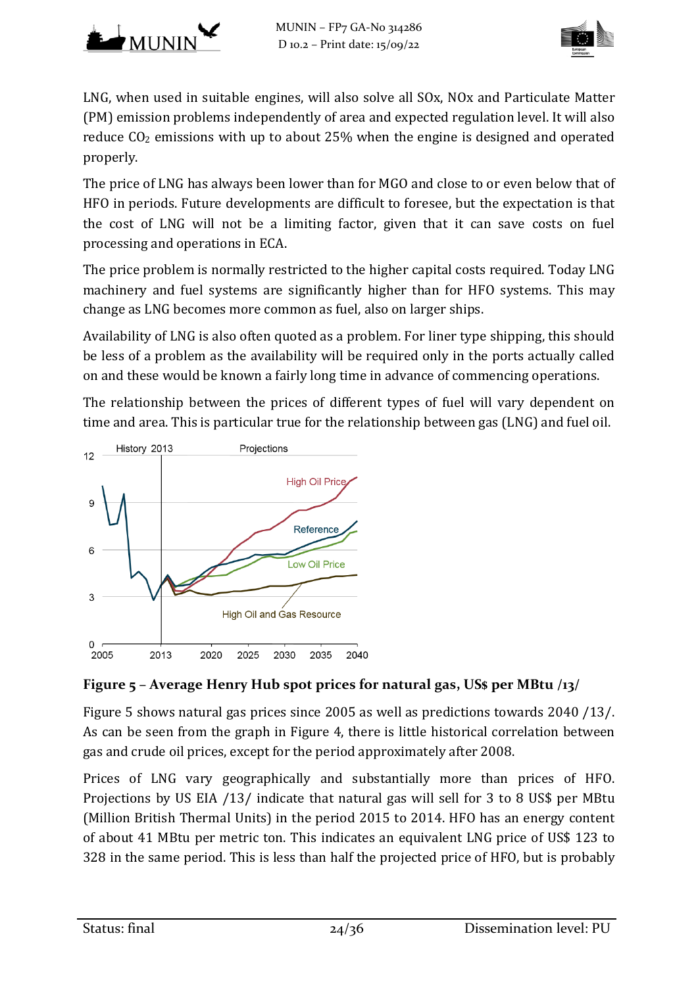



LNG, when used in suitable engines, will also solve all SOx, NOx and Particulate Matter (PM) emission problems independently of area and expected regulation level. It will also reduce  $CO<sub>2</sub>$  emissions with up to about 25% when the engine is designed and operated properly.

The price of LNG has always been lower than for MGO and close to or even below that of HFO in periods. Future developments are difficult to foresee, but the expectation is that the cost of LNG will not be a limiting factor, given that it can save costs on fuel processing and operations in ECA.

The price problem is normally restricted to the higher capital costs required. Today LNG machinery and fuel systems are significantly higher than for HFO systems. This may change as LNG becomes more common as fuel, also on larger ships.

Availability of LNG is also often quoted as a problem. For liner type shipping, this should be less of a problem as the availability will be required only in the ports actually called on and these would be known a fairly long time in advance of commencing operations.

The relationship between the prices of different types of fuel will vary dependent on time and area. This is particular true for the relationship between gas (LNG) and fuel oil.



# <span id="page-23-0"></span>**Figure 5 – Average Henry Hub spot prices for natural gas, US\$ per MBtu [/13/](#page-34-6)**

[Figure 5](#page-23-0) shows natural gas prices since 2005 as well as predictions towards 2040 [/13/.](#page-34-6) As can be seen from the graph in [Figure 4,](#page-21-0) there is little historical correlation between gas and crude oil prices, except for the period approximately after 2008.

Prices of LNG vary geographically and substantially more than prices of HFO. Projections by US EIA [/13/](#page-34-6) indicate that natural gas will sell for 3 to 8 US\$ per MBtu (Million British Thermal Units) in the period 2015 to 2014. HFO has an energy content of about 41 MBtu per metric ton. This indicates an equivalent LNG price of US\$ 123 to 328 in the same period. This is less than half the projected price of HFO, but is probably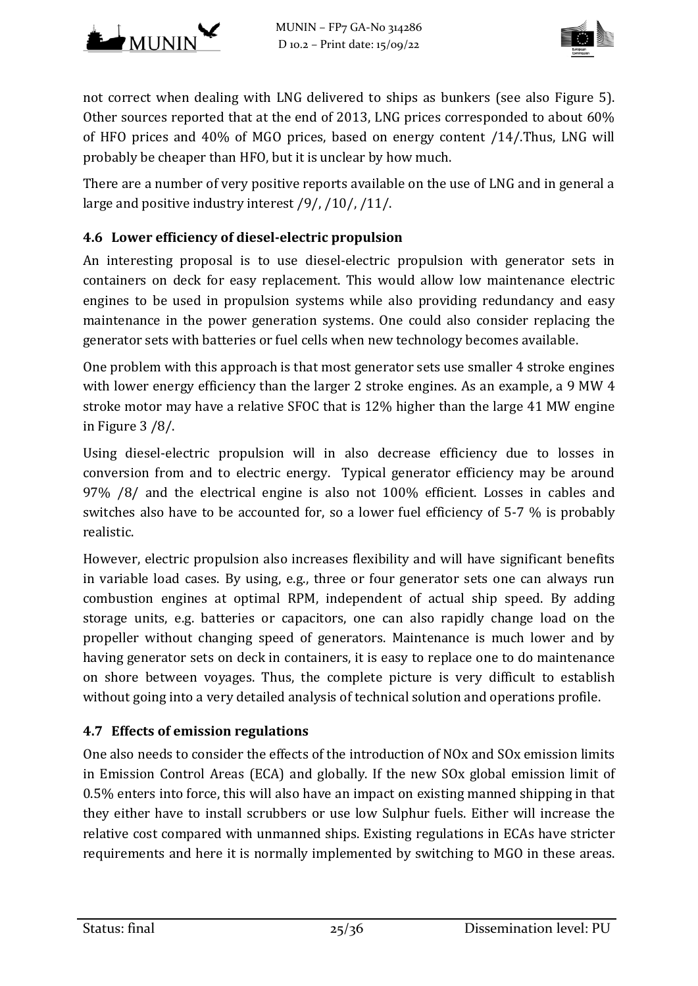



not correct when dealing with LNG delivered to ships as bunkers (see also [Figure 5\)](#page-23-0). Other sources reported that at the end of 2013, LNG prices corresponded to about 60% of HFO prices and 40% of MGO prices, based on energy content [/14/.](#page-34-7)Thus, LNG will probably be cheaper than HFO, but it is unclear by how much.

There are a number of very positive reports available on the use of LNG and in general a large and positive industry interest [/9/,](#page-34-8) [/10/,](#page-34-9) [/11/.](#page-34-10)

## **4.6 Lower efficiency of diesel-electric propulsion**

An interesting proposal is to use diesel-electric propulsion with generator sets in containers on deck for easy replacement. This would allow low maintenance electric engines to be used in propulsion systems while also providing redundancy and easy maintenance in the power generation systems. One could also consider replacing the generator sets with batteries or fuel cells when new technology becomes available.

One problem with this approach is that most generator sets use smaller 4 stroke engines with lower energy efficiency than the larger 2 stroke engines. As an example, a 9 MW 4 stroke motor may have a relative SFOC that is 12% higher than the large 41 MW engine in [Figure 3](#page-21-1) [/8/.](#page-34-5)

Using diesel-electric propulsion will in also decrease efficiency due to losses in conversion from and to electric energy. Typical generator efficiency may be around 97% [/8/](#page-34-5) and the electrical engine is also not 100% efficient. Losses in cables and switches also have to be accounted for, so a lower fuel efficiency of 5-7 % is probably realistic.

However, electric propulsion also increases flexibility and will have significant benefits in variable load cases. By using, e.g., three or four generator sets one can always run combustion engines at optimal RPM, independent of actual ship speed. By adding storage units, e.g. batteries or capacitors, one can also rapidly change load on the propeller without changing speed of generators. Maintenance is much lower and by having generator sets on deck in containers, it is easy to replace one to do maintenance on shore between voyages. Thus, the complete picture is very difficult to establish without going into a very detailed analysis of technical solution and operations profile.

#### **4.7 Effects of emission regulations**

One also needs to consider the effects of the introduction of NOx and SOx emission limits in Emission Control Areas (ECA) and globally. If the new SOx global emission limit of 0.5% enters into force, this will also have an impact on existing manned shipping in that they either have to install scrubbers or use low Sulphur fuels. Either will increase the relative cost compared with unmanned ships. Existing regulations in ECAs have stricter requirements and here it is normally implemented by switching to MGO in these areas.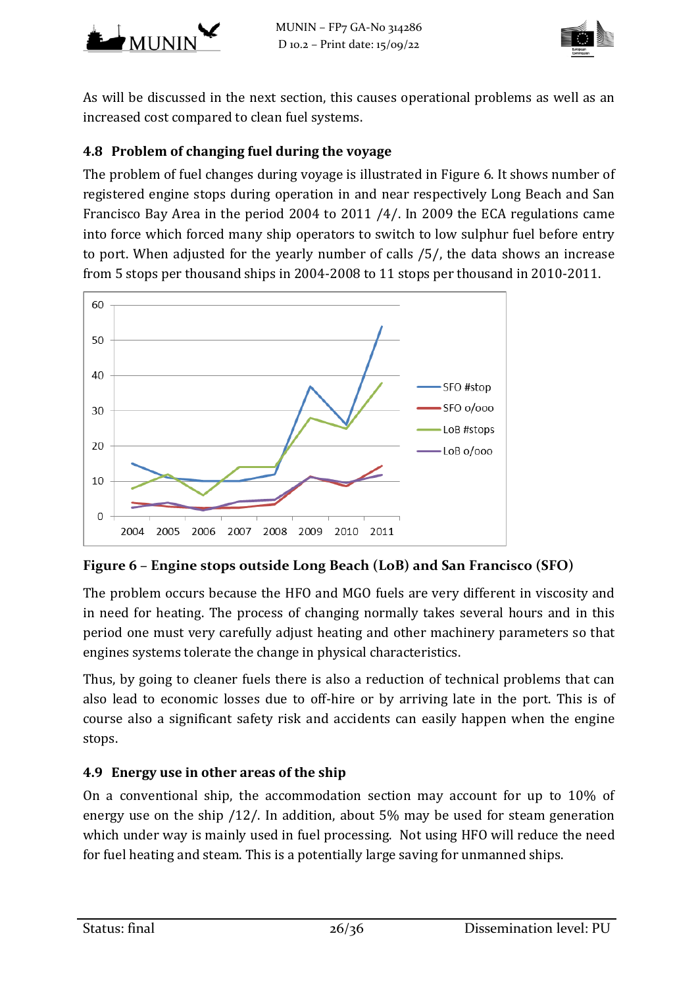



As will be discussed in the next section, this causes operational problems as well as an increased cost compared to clean fuel systems.

## **4.8 Problem of changing fuel during the voyage**

The problem of fuel changes during voyage is illustrated in [Figure 6.](#page-25-0) It shows number of registered engine stops during operation in and near respectively Long Beach and San Francisco Bay Area in the period 2004 to 2011 [/4/.](#page-34-11) In 2009 the ECA regulations came into force which forced many ship operators to switch to low sulphur fuel before entry to port. When adjusted for the yearly number of calls [/5/,](#page-34-12) the data shows an increase from 5 stops per thousand ships in 2004-2008 to 11 stops per thousand in 2010-2011.



<span id="page-25-0"></span>**Figure 6 – Engine stops outside Long Beach (LoB) and San Francisco (SFO)**

The problem occurs because the HFO and MGO fuels are very different in viscosity and in need for heating. The process of changing normally takes several hours and in this period one must very carefully adjust heating and other machinery parameters so that engines systems tolerate the change in physical characteristics.

Thus, by going to cleaner fuels there is also a reduction of technical problems that can also lead to economic losses due to off-hire or by arriving late in the port. This is of course also a significant safety risk and accidents can easily happen when the engine stops.

## **4.9 Energy use in other areas of the ship**

On a conventional ship, the accommodation section may account for up to 10% of energy use on the ship [/12/.](#page-34-13) In addition, about 5% may be used for steam generation which under way is mainly used in fuel processing. Not using HFO will reduce the need for fuel heating and steam. This is a potentially large saving for unmanned ships.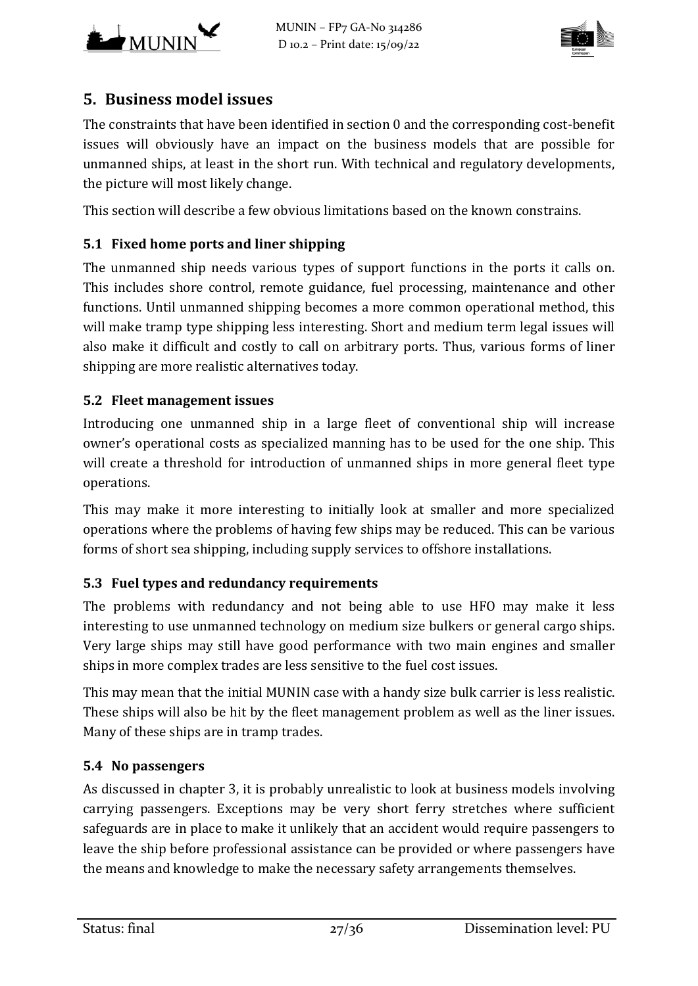



# <span id="page-26-0"></span>**5. Business model issues**

The constraints that have been identified in section [0](#page-12-0) and the corresponding cost-benefit issues will obviously have an impact on the business models that are possible for unmanned ships, at least in the short run. With technical and regulatory developments, the picture will most likely change.

This section will describe a few obvious limitations based on the known constrains.

## **5.1 Fixed home ports and liner shipping**

The unmanned ship needs various types of support functions in the ports it calls on. This includes shore control, remote guidance, fuel processing, maintenance and other functions. Until unmanned shipping becomes a more common operational method, this will make tramp type shipping less interesting. Short and medium term legal issues will also make it difficult and costly to call on arbitrary ports. Thus, various forms of liner shipping are more realistic alternatives today.

#### **5.2 Fleet management issues**

Introducing one unmanned ship in a large fleet of conventional ship will increase owner's operational costs as specialized manning has to be used for the one ship. This will create a threshold for introduction of unmanned ships in more general fleet type operations.

This may make it more interesting to initially look at smaller and more specialized operations where the problems of having few ships may be reduced. This can be various forms of short sea shipping, including supply services to offshore installations.

## **5.3 Fuel types and redundancy requirements**

The problems with redundancy and not being able to use HFO may make it less interesting to use unmanned technology on medium size bulkers or general cargo ships. Very large ships may still have good performance with two main engines and smaller ships in more complex trades are less sensitive to the fuel cost issues.

This may mean that the initial MUNIN case with a handy size bulk carrier is less realistic. These ships will also be hit by the fleet management problem as well as the liner issues. Many of these ships are in tramp trades.

#### **5.4 No passengers**

As discussed in chapter 3, it is probably unrealistic to look at business models involving carrying passengers. Exceptions may be very short ferry stretches where sufficient safeguards are in place to make it unlikely that an accident would require passengers to leave the ship before professional assistance can be provided or where passengers have the means and knowledge to make the necessary safety arrangements themselves.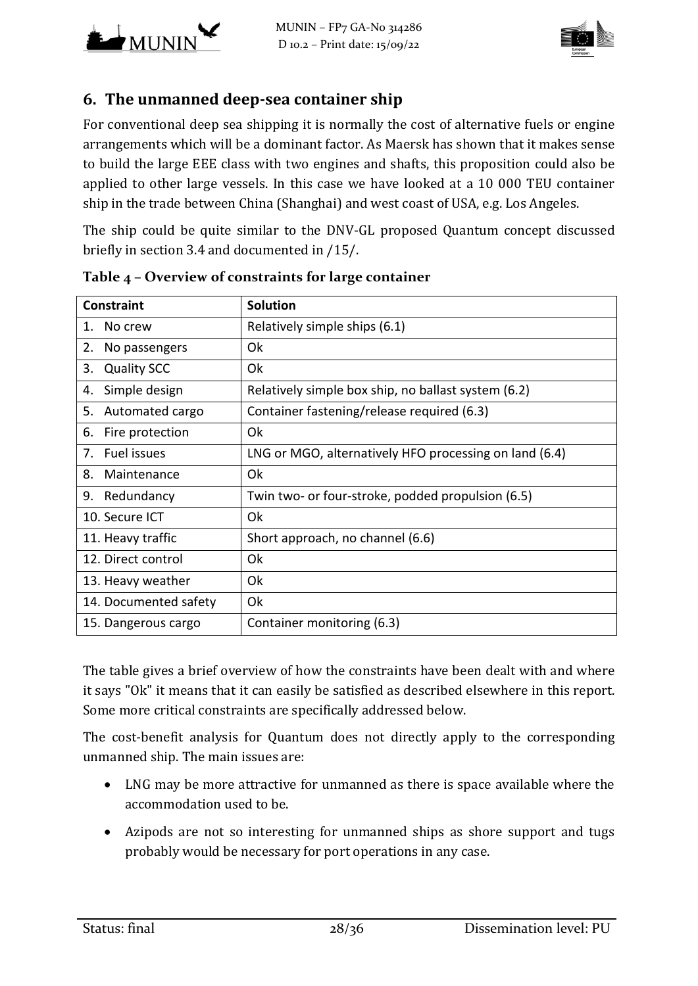



## **6. The unmanned deep-sea container ship**

For conventional deep sea shipping it is normally the cost of alternative fuels or engine arrangements which will be a dominant factor. As Maersk has shown that it makes sense to build the large EEE class with two engines and shafts, this proposition could also be applied to other large vessels. In this case we have looked at a 10 000 TEU container ship in the trade between China (Shanghai) and west coast of USA, e.g. Los Angeles.

The ship could be quite similar to the DNV-GL proposed Quantum concept discussed briefly in section [3.4](#page-14-0) and documented in [/15/.](#page-35-0)

| <b>Constraint</b>        | <b>Solution</b>                                        |
|--------------------------|--------------------------------------------------------|
| No crew<br>1.            | Relatively simple ships (6.1)                          |
| 2.<br>No passengers      | Ok                                                     |
| 3.<br><b>Quality SCC</b> | Ok                                                     |
| Simple design<br>4.      | Relatively simple box ship, no ballast system (6.2)    |
| Automated cargo<br>5.    | Container fastening/release required (6.3)             |
| 6.<br>Fire protection    | 0k                                                     |
| 7. Fuel issues           | LNG or MGO, alternatively HFO processing on land (6.4) |
| 8.<br>Maintenance        | Ok                                                     |
| 9.<br>Redundancy         | Twin two- or four-stroke, podded propulsion (6.5)      |
| 10. Secure ICT           | 0k                                                     |
| 11. Heavy traffic        | Short approach, no channel (6.6)                       |
| 12. Direct control       | Ok                                                     |
| 13. Heavy weather        | Ok                                                     |
| 14. Documented safety    | Ok                                                     |
| 15. Dangerous cargo      | Container monitoring (6.3)                             |

**Table 4 – Overview of constraints for large container**

The table gives a brief overview of how the constraints have been dealt with and where it says "Ok" it means that it can easily be satisfied as described elsewhere in this report. Some more critical constraints are specifically addressed below.

The cost-benefit analysis for Quantum does not directly apply to the corresponding unmanned ship. The main issues are:

- LNG may be more attractive for unmanned as there is space available where the accommodation used to be.
- Azipods are not so interesting for unmanned ships as shore support and tugs probably would be necessary for port operations in any case.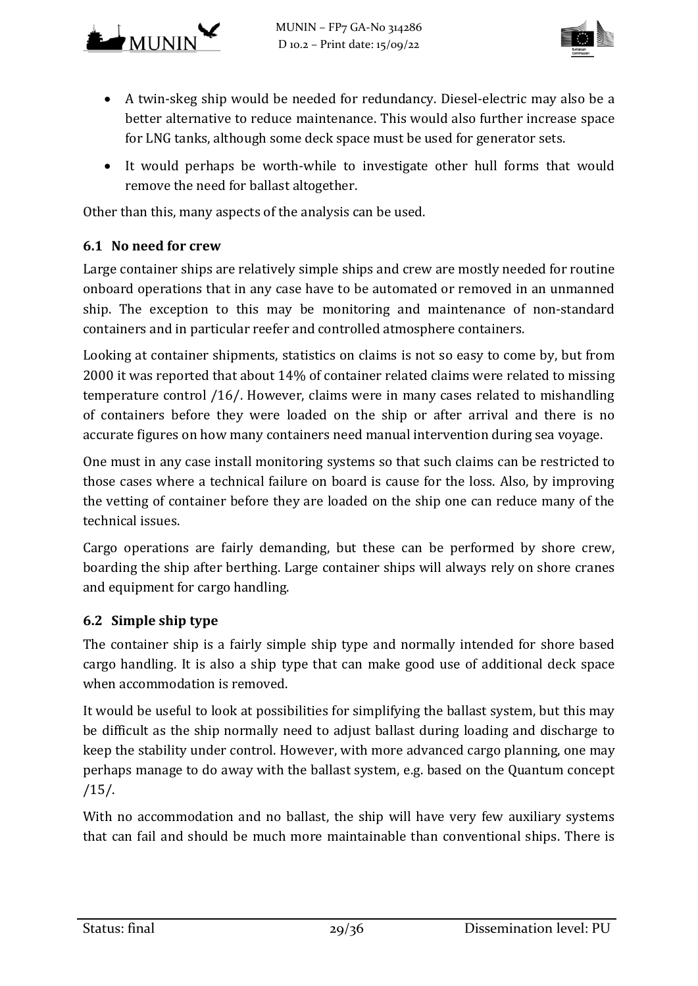



- A twin-skeg ship would be needed for redundancy. Diesel-electric may also be a better alternative to reduce maintenance. This would also further increase space for LNG tanks, although some deck space must be used for generator sets.
- It would perhaps be worth-while to investigate other hull forms that would remove the need for ballast altogether.

Other than this, many aspects of the analysis can be used.

## <span id="page-28-0"></span>**6.1 No need for crew**

Large container ships are relatively simple ships and crew are mostly needed for routine onboard operations that in any case have to be automated or removed in an unmanned ship. The exception to this may be monitoring and maintenance of non-standard containers and in particular reefer and controlled atmosphere containers.

Looking at container shipments, statistics on claims is not so easy to come by, but from 2000 it was reported that about 14% of container related claims were related to missing temperature control [/16/.](#page-35-1) However, claims were in many cases related to mishandling of containers before they were loaded on the ship or after arrival and there is no accurate figures on how many containers need manual intervention during sea voyage.

One must in any case install monitoring systems so that such claims can be restricted to those cases where a technical failure on board is cause for the loss. Also, by improving the vetting of container before they are loaded on the ship one can reduce many of the technical issues.

Cargo operations are fairly demanding, but these can be performed by shore crew, boarding the ship after berthing. Large container ships will always rely on shore cranes and equipment for cargo handling.

## <span id="page-28-1"></span>**6.2 Simple ship type**

The container ship is a fairly simple ship type and normally intended for shore based cargo handling. It is also a ship type that can make good use of additional deck space when accommodation is removed.

It would be useful to look at possibilities for simplifying the ballast system, but this may be difficult as the ship normally need to adjust ballast during loading and discharge to keep the stability under control. However, with more advanced cargo planning, one may perhaps manage to do away with the ballast system, e.g. based on the Quantum concept [/15/.](#page-35-0)

With no accommodation and no ballast, the ship will have very few auxiliary systems that can fail and should be much more maintainable than conventional ships. There is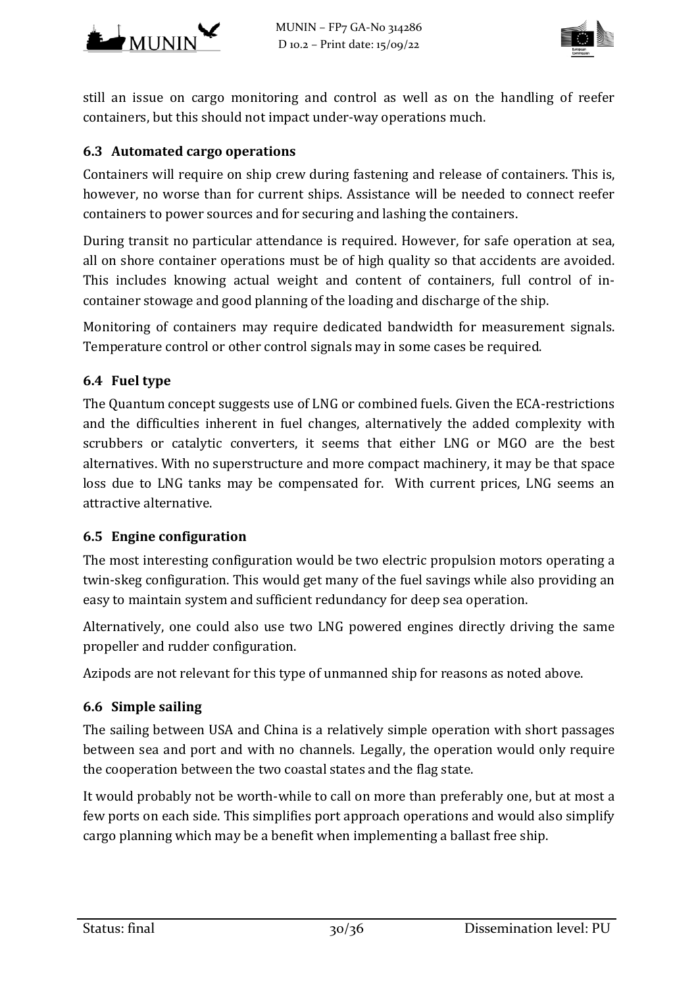



still an issue on cargo monitoring and control as well as on the handling of reefer containers, but this should not impact under-way operations much.

### <span id="page-29-0"></span>**6.3 Automated cargo operations**

Containers will require on ship crew during fastening and release of containers. This is, however, no worse than for current ships. Assistance will be needed to connect reefer containers to power sources and for securing and lashing the containers.

During transit no particular attendance is required. However, for safe operation at sea, all on shore container operations must be of high quality so that accidents are avoided. This includes knowing actual weight and content of containers, full control of incontainer stowage and good planning of the loading and discharge of the ship.

Monitoring of containers may require dedicated bandwidth for measurement signals. Temperature control or other control signals may in some cases be required.

#### <span id="page-29-1"></span>**6.4 Fuel type**

The Quantum concept suggests use of LNG or combined fuels. Given the ECA-restrictions and the difficulties inherent in fuel changes, alternatively the added complexity with scrubbers or catalytic converters, it seems that either LNG or MGO are the best alternatives. With no superstructure and more compact machinery, it may be that space loss due to LNG tanks may be compensated for. With current prices, LNG seems an attractive alternative.

#### <span id="page-29-2"></span>**6.5 Engine configuration**

The most interesting configuration would be two electric propulsion motors operating a twin-skeg configuration. This would get many of the fuel savings while also providing an easy to maintain system and sufficient redundancy for deep sea operation.

Alternatively, one could also use two LNG powered engines directly driving the same propeller and rudder configuration.

Azipods are not relevant for this type of unmanned ship for reasons as noted above.

#### <span id="page-29-3"></span>**6.6 Simple sailing**

The sailing between USA and China is a relatively simple operation with short passages between sea and port and with no channels. Legally, the operation would only require the cooperation between the two coastal states and the flag state.

It would probably not be worth-while to call on more than preferably one, but at most a few ports on each side. This simplifies port approach operations and would also simplify cargo planning which may be a benefit when implementing a ballast free ship.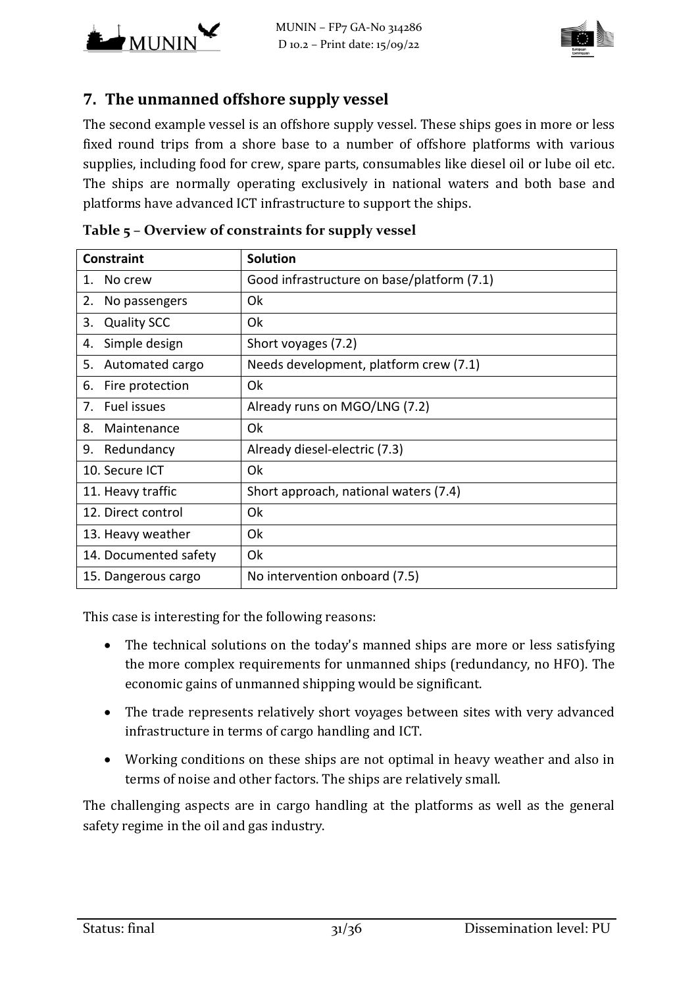



## **7. The unmanned offshore supply vessel**

The second example vessel is an offshore supply vessel. These ships goes in more or less fixed round trips from a shore base to a number of offshore platforms with various supplies, including food for crew, spare parts, consumables like diesel oil or lube oil etc. The ships are normally operating exclusively in national waters and both base and platforms have advanced ICT infrastructure to support the ships.

| <b>Constraint</b>        | <b>Solution</b>                            |
|--------------------------|--------------------------------------------|
| No crew<br>1.            | Good infrastructure on base/platform (7.1) |
| 2.<br>No passengers      | Ok                                         |
| <b>Quality SCC</b><br>3. | Ok                                         |
| Simple design<br>4.      | Short voyages (7.2)                        |
| Automated cargo<br>5.    | Needs development, platform crew (7.1)     |
| Fire protection<br>6.    | Ok                                         |
| Fuel issues<br>7.        | Already runs on MGO/LNG (7.2)              |
| 8.<br>Maintenance        | Ok                                         |
| Redundancy<br>9.         | Already diesel-electric (7.3)              |
| 10. Secure ICT           | Ok                                         |
| 11. Heavy traffic        | Short approach, national waters (7.4)      |
| 12. Direct control       | Ok                                         |
| 13. Heavy weather        | Ok                                         |
| 14. Documented safety    | Ok                                         |
| 15. Dangerous cargo      | No intervention onboard (7.5)              |

**Table 5 – Overview of constraints for supply vessel**

This case is interesting for the following reasons:

- The technical solutions on the today's manned ships are more or less satisfying the more complex requirements for unmanned ships (redundancy, no HFO). The economic gains of unmanned shipping would be significant.
- The trade represents relatively short voyages between sites with very advanced infrastructure in terms of cargo handling and ICT.
- Working conditions on these ships are not optimal in heavy weather and also in terms of noise and other factors. The ships are relatively small.

The challenging aspects are in cargo handling at the platforms as well as the general safety regime in the oil and gas industry.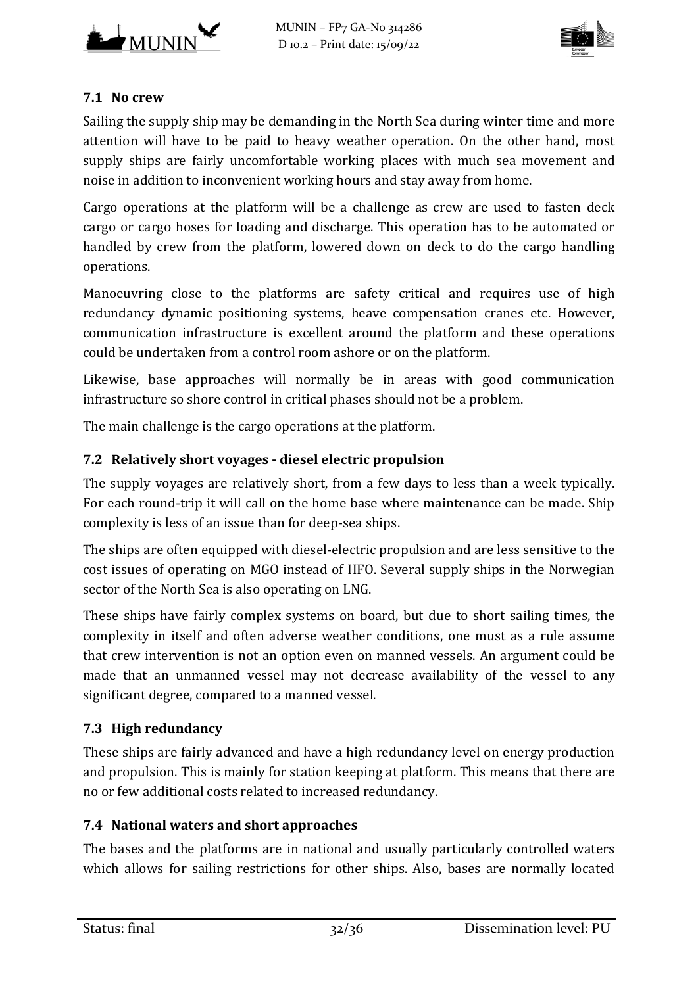

#### <span id="page-31-0"></span>**7.1 No crew**

Sailing the supply ship may be demanding in the North Sea during winter time and more attention will have to be paid to heavy weather operation. On the other hand, most supply ships are fairly uncomfortable working places with much sea movement and noise in addition to inconvenient working hours and stay away from home.

Cargo operations at the platform will be a challenge as crew are used to fasten deck cargo or cargo hoses for loading and discharge. This operation has to be automated or handled by crew from the platform, lowered down on deck to do the cargo handling operations.

Manoeuvring close to the platforms are safety critical and requires use of high redundancy dynamic positioning systems, heave compensation cranes etc. However, communication infrastructure is excellent around the platform and these operations could be undertaken from a control room ashore or on the platform.

Likewise, base approaches will normally be in areas with good communication infrastructure so shore control in critical phases should not be a problem.

The main challenge is the cargo operations at the platform.

## <span id="page-31-1"></span>**7.2 Relatively short voyages - diesel electric propulsion**

The supply voyages are relatively short, from a few days to less than a week typically. For each round-trip it will call on the home base where maintenance can be made. Ship complexity is less of an issue than for deep-sea ships.

The ships are often equipped with diesel-electric propulsion and are less sensitive to the cost issues of operating on MGO instead of HFO. Several supply ships in the Norwegian sector of the North Sea is also operating on LNG.

These ships have fairly complex systems on board, but due to short sailing times, the complexity in itself and often adverse weather conditions, one must as a rule assume that crew intervention is not an option even on manned vessels. An argument could be made that an unmanned vessel may not decrease availability of the vessel to any significant degree, compared to a manned vessel.

#### <span id="page-31-2"></span>**7.3 High redundancy**

These ships are fairly advanced and have a high redundancy level on energy production and propulsion. This is mainly for station keeping at platform. This means that there are no or few additional costs related to increased redundancy.

#### <span id="page-31-3"></span>**7.4 National waters and short approaches**

The bases and the platforms are in national and usually particularly controlled waters which allows for sailing restrictions for other ships. Also, bases are normally located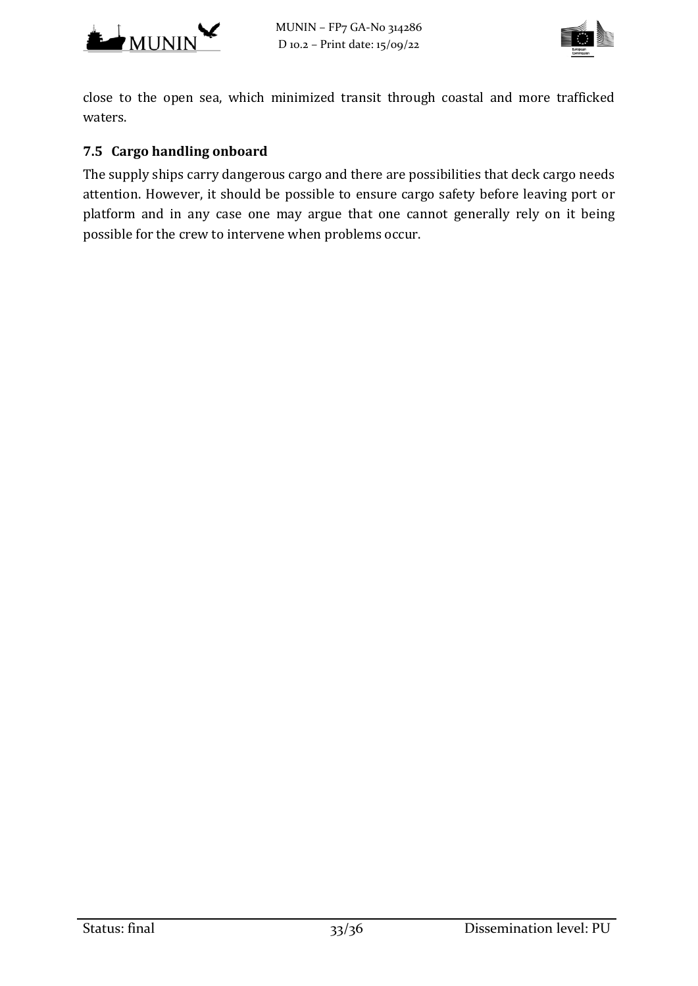



close to the open sea, which minimized transit through coastal and more trafficked waters.

## <span id="page-32-0"></span>**7.5 Cargo handling onboard**

The supply ships carry dangerous cargo and there are possibilities that deck cargo needs attention. However, it should be possible to ensure cargo safety before leaving port or platform and in any case one may argue that one cannot generally rely on it being possible for the crew to intervene when problems occur.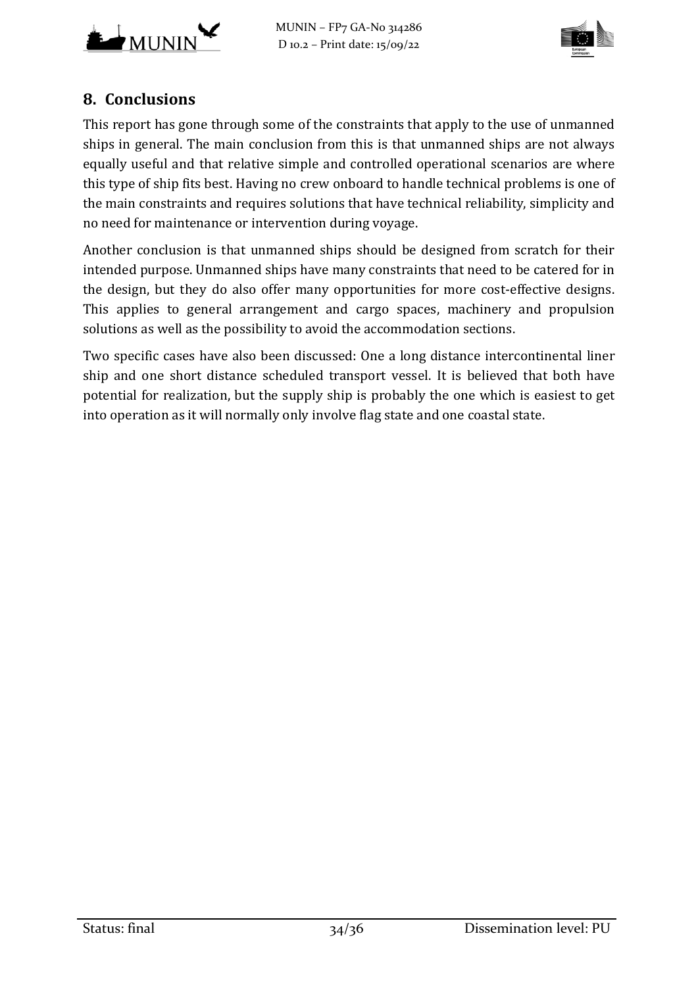



# **8. Conclusions**

This report has gone through some of the constraints that apply to the use of unmanned ships in general. The main conclusion from this is that unmanned ships are not always equally useful and that relative simple and controlled operational scenarios are where this type of ship fits best. Having no crew onboard to handle technical problems is one of the main constraints and requires solutions that have technical reliability, simplicity and no need for maintenance or intervention during voyage.

Another conclusion is that unmanned ships should be designed from scratch for their intended purpose. Unmanned ships have many constraints that need to be catered for in the design, but they do also offer many opportunities for more cost-effective designs. This applies to general arrangement and cargo spaces, machinery and propulsion solutions as well as the possibility to avoid the accommodation sections.

Two specific cases have also been discussed: One a long distance intercontinental liner ship and one short distance scheduled transport vessel. It is believed that both have potential for realization, but the supply ship is probably the one which is easiest to get into operation as it will normally only involve flag state and one coastal state.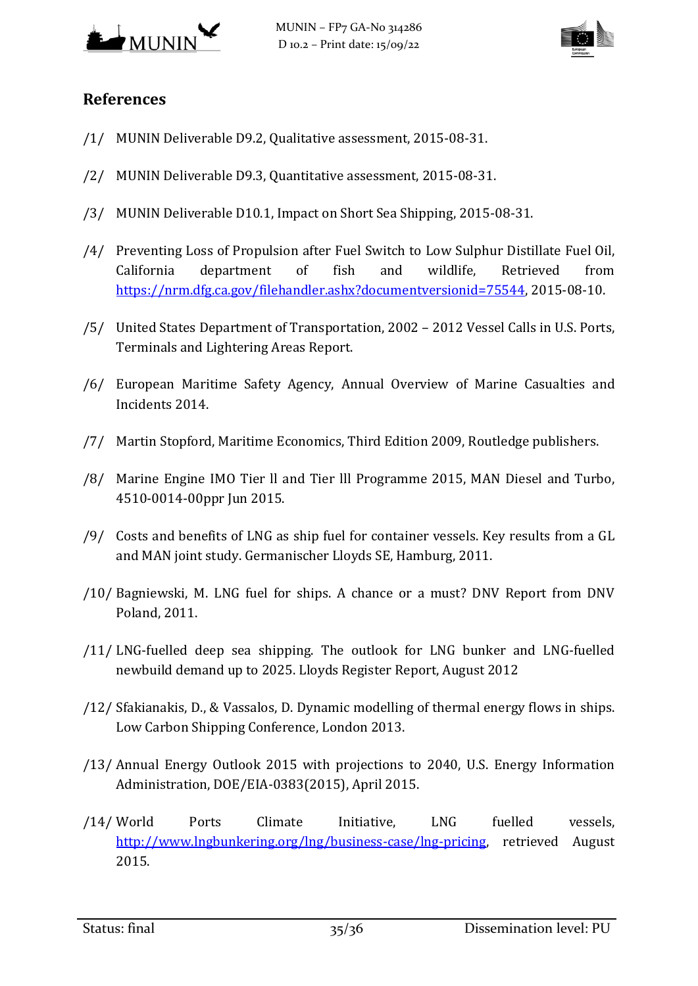



# **References**

- <span id="page-34-2"></span>/1/ MUNIN Deliverable D9.2, Qualitative assessment, 2015-08-31.
- <span id="page-34-1"></span>/2/ MUNIN Deliverable D9.3, Quantitative assessment, 2015-08-31.
- <span id="page-34-0"></span>/3/ MUNIN Deliverable D10.1, Impact on Short Sea Shipping, 2015-08-31.
- <span id="page-34-11"></span>/4/ Preventing Loss of Propulsion after Fuel Switch to Low Sulphur Distillate Fuel Oil, California department of fish and wildlife, Retrieved from [https://nrm.dfg.ca.gov/filehandler.ashx?documentversionid=75544,](https://nrm.dfg.ca.gov/filehandler.ashx?documentversionid=75544) 2015-08-10.
- <span id="page-34-12"></span>/5/ United States Department of Transportation, 2002 – 2012 Vessel Calls in U.S. Ports, Terminals and Lightering Areas Report.
- <span id="page-34-4"></span>/6/ European Maritime Safety Agency, Annual Overview of Marine Casualties and Incidents 2014.
- <span id="page-34-3"></span>/7/ Martin Stopford, Maritime Economics, Third Edition 2009, Routledge publishers.
- <span id="page-34-5"></span>/8/ Marine Engine IMO Tier ll and Tier lll Programme 2015, MAN Diesel and Turbo, 4510-0014-00ppr Jun 2015.
- <span id="page-34-8"></span>/9/ Costs and benefits of LNG as ship fuel for container vessels. Key results from a GL and MAN joint study. Germanischer Lloyds SE, Hamburg, 2011.
- <span id="page-34-9"></span>/10/ Bagniewski, M. LNG fuel for ships. A chance or a must? DNV Report from DNV Poland, 2011.
- <span id="page-34-10"></span>/11/ LNG-fuelled deep sea shipping. The outlook for LNG bunker and LNG-fuelled newbuild demand up to 2025. Lloyds Register Report, August 2012
- <span id="page-34-13"></span>/12/ Sfakianakis, D., & Vassalos, D. Dynamic modelling of thermal energy flows in ships. Low Carbon Shipping Conference, London 2013.
- <span id="page-34-6"></span>/13/ Annual Energy Outlook 2015 with projections to 2040, U.S. Energy Information Administration, DOE/EIA-0383(2015), April 2015.
- <span id="page-34-7"></span>/14/ World Ports Climate Initiative, LNG fuelled vessels, [http://www.lngbunkering.org/lng/business-case/lng-pricing,](http://www.lngbunkering.org/lng/business-case/lng-pricing) retrieved August 2015.